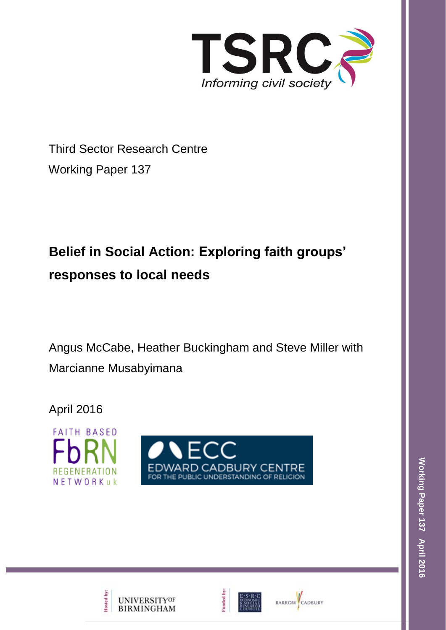

Third Sector Research Centre Working Paper 137

# **Belief in Social Action: Exploring faith groups' responses to local needs**

Angus McCabe, Heather Buckingham and Steve Miller with Marcianne Musabyimana

April 2016







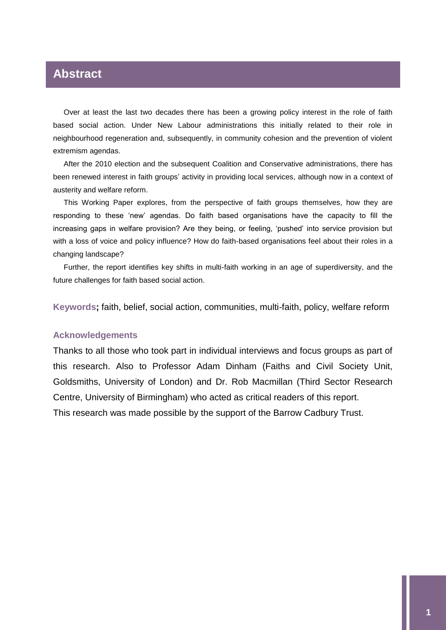### **Abstract**

Over at least the last two decades there has been a growing policy interest in the role of faith based social action. Under New Labour administrations this initially related to their role in neighbourhood regeneration and, subsequently, in community cohesion and the prevention of violent extremism agendas.

After the 2010 election and the subsequent Coalition and Conservative administrations, there has been renewed interest in faith groups' activity in providing local services, although now in a context of austerity and welfare reform.

This Working Paper explores, from the perspective of faith groups themselves, how they are responding to these 'new' agendas. Do faith based organisations have the capacity to fill the increasing gaps in welfare provision? Are they being, or feeling, 'pushed' into service provision but with a loss of voice and policy influence? How do faith-based organisations feel about their roles in a changing landscape?

Further, the report identifies key shifts in multi-faith working in an age of superdiversity, and the future challenges for faith based social action.

**Keywords;** faith, belief, social action, communities, multi-faith, policy, welfare reform

#### **Acknowledgements**

Thanks to all those who took part in individual interviews and focus groups as part of this research. Also to Professor Adam Dinham (Faiths and Civil Society Unit, Goldsmiths, University of London) and Dr. Rob Macmillan (Third Sector Research Centre, University of Birmingham) who acted as critical readers of this report. This research was made possible by the support of the Barrow Cadbury Trust.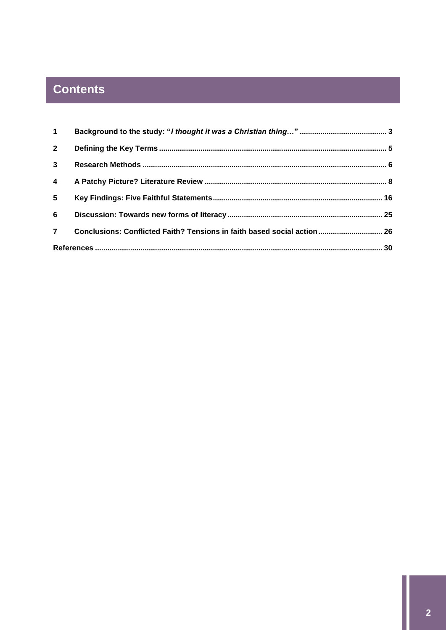## **Contents**

| $\mathbf 1$             |                                                                         |  |
|-------------------------|-------------------------------------------------------------------------|--|
| $2^{\circ}$             |                                                                         |  |
| $\mathbf{3}$            |                                                                         |  |
| $\overline{\mathbf{4}}$ |                                                                         |  |
| 5 <sup>5</sup>          |                                                                         |  |
| 6                       |                                                                         |  |
| $\overline{7}$          | Conclusions: Conflicted Faith? Tensions in faith based social action 26 |  |
|                         |                                                                         |  |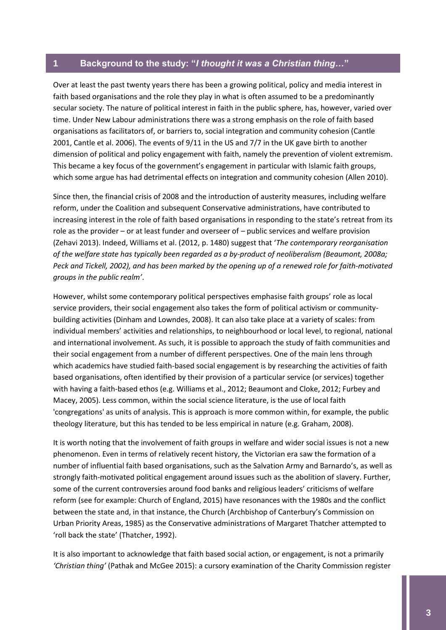#### <span id="page-3-0"></span>**1 Background to the study: "***I thought it was a Christian thing…***"**

Over at least the past twenty years there has been a growing political, policy and media interest in faith based organisations and the role they play in what is often assumed to be a predominantly secular society. The nature of political interest in faith in the public sphere, has, however, varied over time. Under New Labour administrations there was a strong emphasis on the role of faith based organisations as facilitators of, or barriers to, social integration and community cohesion (Cantle 2001, Cantle et al. 2006). The events of 9/11 in the US and 7/7 in the UK gave birth to another dimension of political and policy engagement with faith, namely the prevention of violent extremism. This became a key focus of the government's engagement in particular with Islamic faith groups, which some argue has had detrimental effects on integration and community cohesion (Allen 2010).

Since then, the financial crisis of 2008 and the introduction of austerity measures, including welfare reform, under the Coalition and subsequent Conservative administrations, have contributed to increasing interest in the role of faith based organisations in responding to the state's retreat from its role as the provider – or at least funder and overseer of – public services and welfare provision (Zehavi 2013). Indeed, Williams et al. (2012, p. 1480) suggest that '*The contemporary reorganisation of the welfare state has typically been regarded as a by-product of neoliberalism (Beaumont, 2008a; Peck and Tickell, 2002), and has been marked by the opening up of a renewed role for faith-motivated groups in the public realm'*.

However, whilst some contemporary political perspectives emphasise faith groups' role as local service providers, their social engagement also takes the form of political activism or communitybuilding activities (Dinham and Lowndes, 2008). It can also take place at a variety of scales: from individual members' activities and relationships, to neighbourhood or local level, to regional, national and international involvement. As such, it is possible to approach the study of faith communities and their social engagement from a number of different perspectives. One of the main lens through which academics have studied faith-based social engagement is by researching the activities of faith based organisations, often identified by their provision of a particular service (or services) together with having a faith-based ethos (e.g. Williams et al., 2012; Beaumont and Cloke, 2012; Furbey and Macey, 2005). Less common, within the social science literature, is the use of local faith 'congregations' as units of analysis. This is approach is more common within, for example, the public theology literature, but this has tended to be less empirical in nature (e.g. Graham, 2008).

It is worth noting that the involvement of faith groups in welfare and wider social issues is not a new phenomenon. Even in terms of relatively recent history, the Victorian era saw the formation of a number of influential faith based organisations, such as the Salvation Army and Barnardo's, as well as strongly faith-motivated political engagement around issues such as the abolition of slavery. Further, some of the current controversies around food banks and religious leaders' criticisms of welfare reform (see for example: Church of England, 2015) have resonances with the 1980s and the conflict between the state and, in that instance, the Church (Archbishop of Canterbury's Commission on Urban Priority Areas, 1985) as the Conservative administrations of Margaret Thatcher attempted to 'roll back the state' (Thatcher, 1992).

It is also important to acknowledge that faith based social action, or engagement, is not a primarily *'Christian thing'* (Pathak and McGee 2015): a cursory examination of the Charity Commission register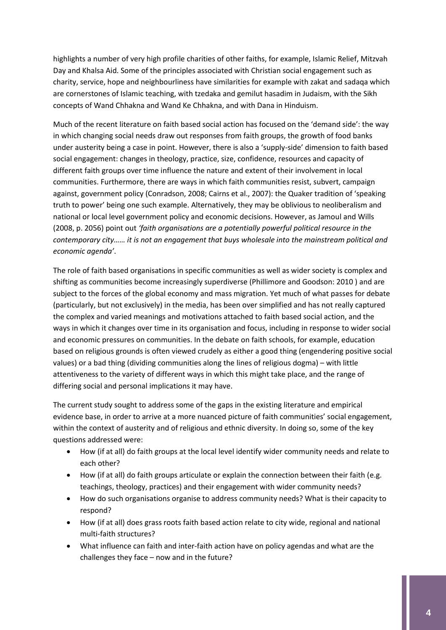highlights a number of very high profile charities of other faiths, for example, Islamic Relief, Mitzvah Day and Khalsa Aid. Some of the principles associated with Christian social engagement such as charity, service, hope and neighbourliness have similarities for example with zakat and sadaqa which are cornerstones of Islamic teaching, with tzedaka and gemilut hasadim in Judaism, with the Sikh concepts of Wand Chhakna and Wand Ke Chhakna, and with Dana in Hinduism.

Much of the recent literature on faith based social action has focused on the 'demand side': the way in which changing social needs draw out responses from faith groups, the growth of food banks under austerity being a case in point. However, there is also a 'supply-side' dimension to faith based social engagement: changes in theology, practice, size, confidence, resources and capacity of different faith groups over time influence the nature and extent of their involvement in local communities. Furthermore, there are ways in which faith communities resist, subvert, campaign against, government policy (Conradson, 2008; Cairns et al., 2007): the Quaker tradition of 'speaking truth to power' being one such example. Alternatively, they may be oblivious to neoliberalism and national or local level government policy and economic decisions. However, as Jamoul and Wills (2008, p. 2056) point out *'faith organisations are a potentially powerful political resource in the contemporary city…… it is not an engagement that buys wholesale into the mainstream political and economic agenda'*.

The role of faith based organisations in specific communities as well as wider society is complex and shifting as communities become increasingly superdiverse (Phillimore and Goodson: 2010 ) and are subject to the forces of the global economy and mass migration. Yet much of what passes for debate (particularly, but not exclusively) in the media, has been over simplified and has not really captured the complex and varied meanings and motivations attached to faith based social action, and the ways in which it changes over time in its organisation and focus, including in response to wider social and economic pressures on communities. In the debate on faith schools, for example, education based on religious grounds is often viewed crudely as either a good thing (engendering positive social values) or a bad thing (dividing communities along the lines of religious dogma) – with little attentiveness to the variety of different ways in which this might take place, and the range of differing social and personal implications it may have.

The current study sought to address some of the gaps in the existing literature and empirical evidence base, in order to arrive at a more nuanced picture of faith communities' social engagement, within the context of austerity and of religious and ethnic diversity. In doing so, some of the key questions addressed were:

- How (if at all) do faith groups at the local level identify wider community needs and relate to each other?
- How (if at all) do faith groups articulate or explain the connection between their faith (e.g. teachings, theology, practices) and their engagement with wider community needs?
- How do such organisations organise to address community needs? What is their capacity to respond?
- How (if at all) does grass roots faith based action relate to city wide, regional and national multi-faith structures?
- What influence can faith and inter-faith action have on policy agendas and what are the challenges they face – now and in the future?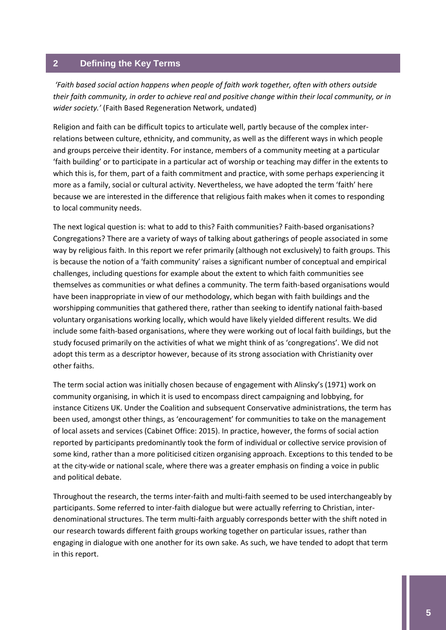#### <span id="page-5-0"></span>**2 Defining the Key Terms**

*'Faith based social action happens when people of faith work together, often with others outside their faith community, in order to achieve real and positive change within their local community, or in wider society.'* (Faith Based Regeneration Network, undated)

Religion and faith can be difficult topics to articulate well, partly because of the complex interrelations between culture, ethnicity, and community, as well as the different ways in which people and groups perceive their identity. For instance, members of a community meeting at a particular 'faith building' or to participate in a particular act of worship or teaching may differ in the extents to which this is, for them, part of a faith commitment and practice, with some perhaps experiencing it more as a family, social or cultural activity. Nevertheless, we have adopted the term 'faith' here because we are interested in the difference that religious faith makes when it comes to responding to local community needs.

The next logical question is: what to add to this? Faith communities? Faith-based organisations? Congregations? There are a variety of ways of talking about gatherings of people associated in some way by religious faith. In this report we refer primarily (although not exclusively) to faith groups. This is because the notion of a 'faith community' raises a significant number of conceptual and empirical challenges, including questions for example about the extent to which faith communities see themselves as communities or what defines a community. The term faith-based organisations would have been inappropriate in view of our methodology, which began with faith buildings and the worshipping communities that gathered there, rather than seeking to identify national faith-based voluntary organisations working locally, which would have likely yielded different results. We did include some faith-based organisations, where they were working out of local faith buildings, but the study focused primarily on the activities of what we might think of as 'congregations'. We did not adopt this term as a descriptor however, because of its strong association with Christianity over other faiths.

The term social action was initially chosen because of engagement with Alinsky's (1971) work on community organising, in which it is used to encompass direct campaigning and lobbying, for instance Citizens UK. Under the Coalition and subsequent Conservative administrations, the term has been used, amongst other things, as 'encouragement' for communities to take on the management of local assets and services (Cabinet Office: 2015). In practice, however, the forms of social action reported by participants predominantly took the form of individual or collective service provision of some kind, rather than a more politicised citizen organising approach. Exceptions to this tended to be at the city-wide or national scale, where there was a greater emphasis on finding a voice in public and political debate.

Throughout the research, the terms inter-faith and multi-faith seemed to be used interchangeably by participants. Some referred to inter-faith dialogue but were actually referring to Christian, interdenominational structures. The term multi-faith arguably corresponds better with the shift noted in our research towards different faith groups working together on particular issues, rather than engaging in dialogue with one another for its own sake. As such, we have tended to adopt that term in this report.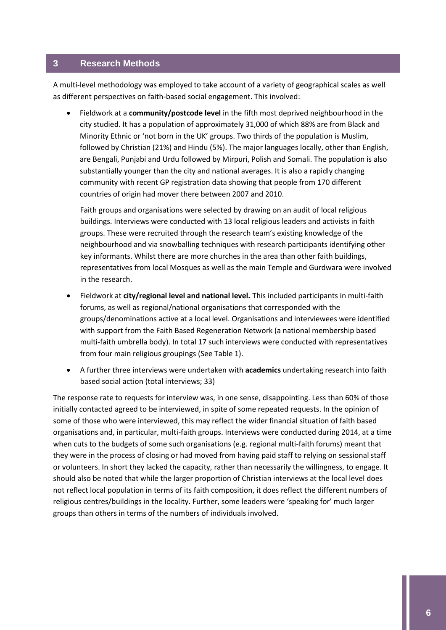#### <span id="page-6-0"></span>**3 Research Methods**

A multi-level methodology was employed to take account of a variety of geographical scales as well as different perspectives on faith-based social engagement. This involved:

 Fieldwork at a **community/postcode level** in the fifth most deprived neighbourhood in the city studied. It has a population of approximately 31,000 of which 88% are from Black and Minority Ethnic or 'not born in the UK' groups. Two thirds of the population is Muslim, followed by Christian (21%) and Hindu (5%). The major languages locally, other than English, are Bengali, Punjabi and Urdu followed by Mirpuri, Polish and Somali. The population is also substantially younger than the city and national averages. It is also a rapidly changing community with recent GP registration data showing that people from 170 different countries of origin had mover there between 2007 and 2010.

Faith groups and organisations were selected by drawing on an audit of local religious buildings. Interviews were conducted with 13 local religious leaders and activists in faith groups. These were recruited through the research team's existing knowledge of the neighbourhood and via snowballing techniques with research participants identifying other key informants. Whilst there are more churches in the area than other faith buildings, representatives from local Mosques as well as the main Temple and Gurdwara were involved in the research.

- Fieldwork at **city/regional level and national level.** This included participants in multi-faith forums, as well as regional/national organisations that corresponded with the groups/denominations active at a local level. Organisations and interviewees were identified with support from the Faith Based Regeneration Network (a national membership based multi-faith umbrella body). In total 17 such interviews were conducted with representatives from four main religious groupings (See Table 1).
- A further three interviews were undertaken with **academics** undertaking research into faith based social action (total interviews; 33)

The response rate to requests for interview was, in one sense, disappointing. Less than 60% of those initially contacted agreed to be interviewed, in spite of some repeated requests. In the opinion of some of those who were interviewed, this may reflect the wider financial situation of faith based organisations and, in particular, multi-faith groups. Interviews were conducted during 2014, at a time when cuts to the budgets of some such organisations (e.g. regional multi-faith forums) meant that they were in the process of closing or had moved from having paid staff to relying on sessional staff or volunteers. In short they lacked the capacity, rather than necessarily the willingness, to engage. It should also be noted that while the larger proportion of Christian interviews at the local level does not reflect local population in terms of its faith composition, it does reflect the different numbers of religious centres/buildings in the locality. Further, some leaders were 'speaking for' much larger groups than others in terms of the numbers of individuals involved.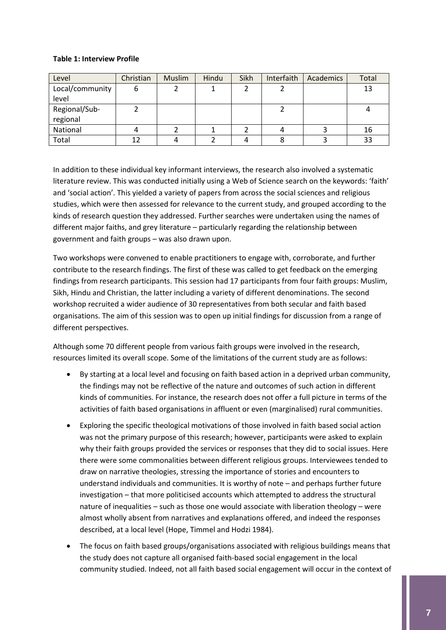#### **Table 1: Interview Profile**

| Level           | Christian | <b>Muslim</b> | Hindu | Sikh | Interfaith | Academics | Total |
|-----------------|-----------|---------------|-------|------|------------|-----------|-------|
| Local/community |           |               |       |      |            |           | 13    |
| level           |           |               |       |      |            |           |       |
| Regional/Sub-   |           |               |       |      |            |           |       |
| regional        |           |               |       |      |            |           |       |
| National        |           |               |       |      |            |           | 16    |
| Total           |           |               |       |      |            |           | 33    |

In addition to these individual key informant interviews, the research also involved a systematic literature review. This was conducted initially using a Web of Science search on the keywords: 'faith' and 'social action'. This yielded a variety of papers from across the social sciences and religious studies, which were then assessed for relevance to the current study, and grouped according to the kinds of research question they addressed. Further searches were undertaken using the names of different major faiths, and grey literature – particularly regarding the relationship between government and faith groups – was also drawn upon.

Two workshops were convened to enable practitioners to engage with, corroborate, and further contribute to the research findings. The first of these was called to get feedback on the emerging findings from research participants. This session had 17 participants from four faith groups: Muslim, Sikh, Hindu and Christian, the latter including a variety of different denominations. The second workshop recruited a wider audience of 30 representatives from both secular and faith based organisations. The aim of this session was to open up initial findings for discussion from a range of different perspectives.

Although some 70 different people from various faith groups were involved in the research, resources limited its overall scope. Some of the limitations of the current study are as follows:

- By starting at a local level and focusing on faith based action in a deprived urban community, the findings may not be reflective of the nature and outcomes of such action in different kinds of communities. For instance, the research does not offer a full picture in terms of the activities of faith based organisations in affluent or even (marginalised) rural communities.
- Exploring the specific theological motivations of those involved in faith based social action was not the primary purpose of this research; however, participants were asked to explain why their faith groups provided the services or responses that they did to social issues. Here there were some commonalities between different religious groups. Interviewees tended to draw on narrative theologies, stressing the importance of stories and encounters to understand individuals and communities. It is worthy of note – and perhaps further future investigation – that more politicised accounts which attempted to address the structural nature of inequalities – such as those one would associate with liberation theology – were almost wholly absent from narratives and explanations offered, and indeed the responses described, at a local level (Hope, Timmel and Hodzi 1984).
- The focus on faith based groups/organisations associated with religious buildings means that the study does not capture all organised faith-based social engagement in the local community studied. Indeed, not all faith based social engagement will occur in the context of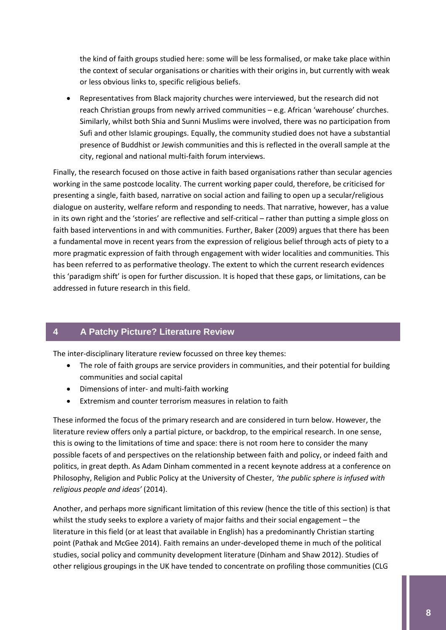the kind of faith groups studied here: some will be less formalised, or make take place within the context of secular organisations or charities with their origins in, but currently with weak or less obvious links to, specific religious beliefs.

 Representatives from Black majority churches were interviewed, but the research did not reach Christian groups from newly arrived communities – e.g. African 'warehouse' churches. Similarly, whilst both Shia and Sunni Muslims were involved, there was no participation from Sufi and other Islamic groupings. Equally, the community studied does not have a substantial presence of Buddhist or Jewish communities and this is reflected in the overall sample at the city, regional and national multi-faith forum interviews.

Finally, the research focused on those active in faith based organisations rather than secular agencies working in the same postcode locality. The current working paper could, therefore, be criticised for presenting a single, faith based, narrative on social action and failing to open up a secular/religious dialogue on austerity, welfare reform and responding to needs. That narrative, however, has a value in its own right and the 'stories' are reflective and self-critical – rather than putting a simple gloss on faith based interventions in and with communities. Further, Baker (2009) argues that there has been a fundamental move in recent years from the expression of religious belief through acts of piety to a more pragmatic expression of faith through engagement with wider localities and communities. This has been referred to as performative theology. The extent to which the current research evidences this 'paradigm shift' is open for further discussion. It is hoped that these gaps, or limitations, can be addressed in future research in this field.

#### <span id="page-8-0"></span>**4 A Patchy Picture? Literature Review**

The inter-disciplinary literature review focussed on three key themes:

- The role of faith groups are service providers in communities, and their potential for building communities and social capital
- Dimensions of inter- and multi-faith working
- Extremism and counter terrorism measures in relation to faith

These informed the focus of the primary research and are considered in turn below. However, the literature review offers only a partial picture, or backdrop, to the empirical research. In one sense, this is owing to the limitations of time and space: there is not room here to consider the many possible facets of and perspectives on the relationship between faith and policy, or indeed faith and politics, in great depth. As Adam Dinham commented in a recent keynote address at a conference on Philosophy, Religion and Public Policy at the University of Chester, *'the public sphere is infused with religious people and ideas'* (2014).

Another, and perhaps more significant limitation of this review (hence the title of this section) is that whilst the study seeks to explore a variety of major faiths and their social engagement – the literature in this field (or at least that available in English) has a predominantly Christian starting point (Pathak and McGee 2014). Faith remains an under-developed theme in much of the political studies, social policy and community development literature (Dinham and Shaw 2012). Studies of other religious groupings in the UK have tended to concentrate on profiling those communities (CLG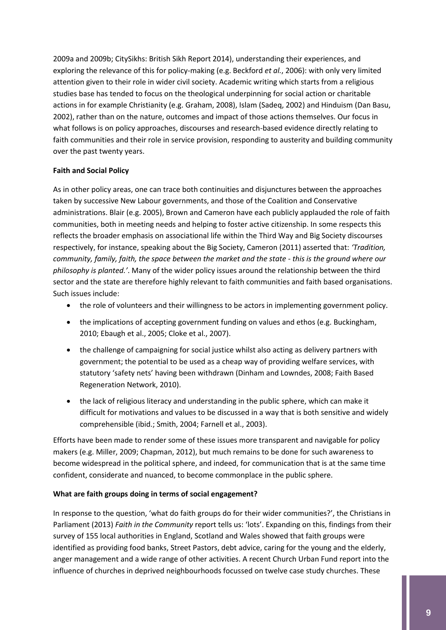2009a and 2009b; CitySikhs: British Sikh Report 2014), understanding their experiences, and exploring the relevance of this for policy-making (e.g. Beckford *et al.*, 2006): with only very limited attention given to their role in wider civil society. Academic writing which starts from a religious studies base has tended to focus on the theological underpinning for social action or charitable actions in for example Christianity (e.g. Graham, 2008), Islam (Sadeq, 2002) and Hinduism (Dan Basu, 2002), rather than on the nature, outcomes and impact of those actions themselves. Our focus in what follows is on policy approaches, discourses and research-based evidence directly relating to faith communities and their role in service provision, responding to austerity and building community over the past twenty years.

#### **Faith and Social Policy**

As in other policy areas, one can trace both continuities and disjunctures between the approaches taken by successive New Labour governments, and those of the Coalition and Conservative administrations. Blair (e.g. 2005), Brown and Cameron have each publicly applauded the role of faith communities, both in meeting needs and helping to foster active citizenship. In some respects this reflects the broader emphasis on associational life within the Third Way and Big Society discourses respectively, for instance, speaking about the Big Society, Cameron (2011) asserted that: *'Tradition, community, family, faith, the space between the market and the state - this is the ground where our philosophy is planted.'*. Many of the wider policy issues around the relationship between the third sector and the state are therefore highly relevant to faith communities and faith based organisations. Such issues include:

- the role of volunteers and their willingness to be actors in implementing government policy.
- the implications of accepting government funding on values and ethos (e.g. Buckingham, 2010; Ebaugh et al., 2005; Cloke et al., 2007).
- the challenge of campaigning for social justice whilst also acting as delivery partners with government; the potential to be used as a cheap way of providing welfare services, with statutory 'safety nets' having been withdrawn (Dinham and Lowndes, 2008; Faith Based Regeneration Network, 2010).
- the lack of religious literacy and understanding in the public sphere, which can make it difficult for motivations and values to be discussed in a way that is both sensitive and widely comprehensible (ibid.; Smith, 2004; Farnell et al., 2003).

Efforts have been made to render some of these issues more transparent and navigable for policy makers (e.g. Miller, 2009; Chapman, 2012), but much remains to be done for such awareness to become widespread in the political sphere, and indeed, for communication that is at the same time confident, considerate and nuanced, to become commonplace in the public sphere.

#### **What are faith groups doing in terms of social engagement?**

In response to the question, 'what do faith groups do for their wider communities?', the Christians in Parliament (2013) *Faith in the Community* report tells us: 'lots'. Expanding on this, findings from their survey of 155 local authorities in England, Scotland and Wales showed that faith groups were identified as providing food banks, Street Pastors, debt advice, caring for the young and the elderly, anger management and a wide range of other activities. A recent Church Urban Fund report into the influence of churches in deprived neighbourhoods focussed on twelve case study churches. These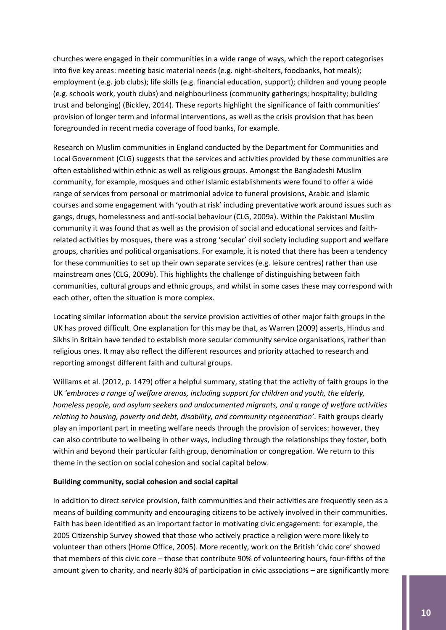churches were engaged in their communities in a wide range of ways, which the report categorises into five key areas: meeting basic material needs (e.g. night-shelters, foodbanks, hot meals); employment (e.g. job clubs); life skills (e.g. financial education, support); children and young people (e.g. schools work, youth clubs) and neighbourliness (community gatherings; hospitality; building trust and belonging) (Bickley, 2014). These reports highlight the significance of faith communities' provision of longer term and informal interventions, as well as the crisis provision that has been foregrounded in recent media coverage of food banks, for example.

Research on Muslim communities in England conducted by the Department for Communities and Local Government (CLG) suggests that the services and activities provided by these communities are often established within ethnic as well as religious groups. Amongst the Bangladeshi Muslim community, for example, mosques and other Islamic establishments were found to offer a wide range of services from personal or matrimonial advice to funeral provisions, Arabic and Islamic courses and some engagement with 'youth at risk' including preventative work around issues such as gangs, drugs, homelessness and anti-social behaviour (CLG, 2009a). Within the Pakistani Muslim community it was found that as well as the provision of social and educational services and faithrelated activities by mosques, there was a strong 'secular' civil society including support and welfare groups, charities and political organisations. For example, it is noted that there has been a tendency for these communities to set up their own separate services (e.g. leisure centres) rather than use mainstream ones (CLG, 2009b). This highlights the challenge of distinguishing between faith communities, cultural groups and ethnic groups, and whilst in some cases these may correspond with each other, often the situation is more complex.

Locating similar information about the service provision activities of other major faith groups in the UK has proved difficult. One explanation for this may be that, as Warren (2009) asserts, Hindus and Sikhs in Britain have tended to establish more secular community service organisations, rather than religious ones. It may also reflect the different resources and priority attached to research and reporting amongst different faith and cultural groups.

Williams et al. (2012, p. 1479) offer a helpful summary, stating that the activity of faith groups in the UK *'embraces a range of welfare arenas, including support for children and youth, the elderly, homeless people, and asylum seekers and undocumented migrants, and a range of welfare activities relating to housing, poverty and debt, disability, and community regeneration'*. Faith groups clearly play an important part in meeting welfare needs through the provision of services: however, they can also contribute to wellbeing in other ways, including through the relationships they foster, both within and beyond their particular faith group, denomination or congregation. We return to this theme in the section on social cohesion and social capital below.

#### **Building community, social cohesion and social capital**

In addition to direct service provision, faith communities and their activities are frequently seen as a means of building community and encouraging citizens to be actively involved in their communities. Faith has been identified as an important factor in motivating civic engagement: for example, the 2005 Citizenship Survey showed that those who actively practice a religion were more likely to volunteer than others (Home Office, 2005). More recently, work on the British 'civic core' showed that members of this civic core – those that contribute 90% of volunteering hours, four-fifths of the amount given to charity, and nearly 80% of participation in civic associations – are significantly more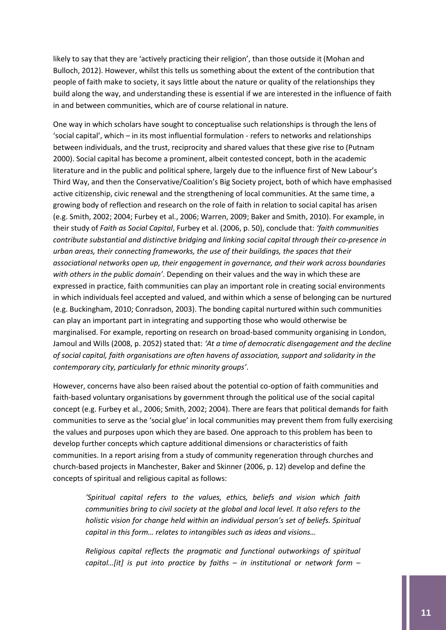likely to say that they are 'actively practicing their religion', than those outside it (Mohan and Bulloch, 2012). However, whilst this tells us something about the extent of the contribution that people of faith make to society, it says little about the nature or quality of the relationships they build along the way, and understanding these is essential if we are interested in the influence of faith in and between communities, which are of course relational in nature.

One way in which scholars have sought to conceptualise such relationships is through the lens of 'social capital', which – in its most influential formulation - refers to networks and relationships between individuals, and the trust, reciprocity and shared values that these give rise to (Putnam 2000). Social capital has become a prominent, albeit contested concept, both in the academic literature and in the public and political sphere, largely due to the influence first of New Labour's Third Way, and then the Conservative/Coalition's Big Society project, both of which have emphasised active citizenship, civic renewal and the strengthening of local communities. At the same time, a growing body of reflection and research on the role of faith in relation to social capital has arisen (e.g. Smith, 2002; 2004; Furbey et al., 2006; Warren, 2009; Baker and Smith, 2010). For example, in their study of *Faith as Social Capital*, Furbey et al. (2006, p. 50), conclude that: *'faith communities contribute substantial and distinctive bridging and linking social capital through their co-presence in urban areas, their connecting frameworks, the use of their buildings, the spaces that their associational networks open up, their engagement in governance, and their work across boundaries with others in the public domain'*. Depending on their values and the way in which these are expressed in practice, faith communities can play an important role in creating social environments in which individuals feel accepted and valued, and within which a sense of belonging can be nurtured (e.g. Buckingham, 2010; Conradson, 2003). The bonding capital nurtured within such communities can play an important part in integrating and supporting those who would otherwise be marginalised. For example, reporting on research on broad-based community organising in London, Jamoul and Wills (2008, p. 2052) stated that: *'At a time of democratic disengagement and the decline of social capital, faith organisations are often havens of association, support and solidarity in the contemporary city, particularly for ethnic minority groups'*.

However, concerns have also been raised about the potential co-option of faith communities and faith-based voluntary organisations by government through the political use of the social capital concept (e.g. Furbey et al., 2006; Smith, 2002; 2004). There are fears that political demands for faith communities to serve as the 'social glue' in local communities may prevent them from fully exercising the values and purposes upon which they are based. One approach to this problem has been to develop further concepts which capture additional dimensions or characteristics of faith communities. In a report arising from a study of community regeneration through churches and church-based projects in Manchester, Baker and Skinner (2006, p. 12) develop and define the concepts of spiritual and religious capital as follows:

*'Spiritual capital refers to the values, ethics, beliefs and vision which faith communities bring to civil society at the global and local level. It also refers to the holistic vision for change held within an individual person's set of beliefs. Spiritual capital in this form… relates to intangibles such as ideas and visions…*

*Religious capital reflects the pragmatic and functional outworkings of spiritual capital…[it] is put into practice by faiths – in institutional or network form –*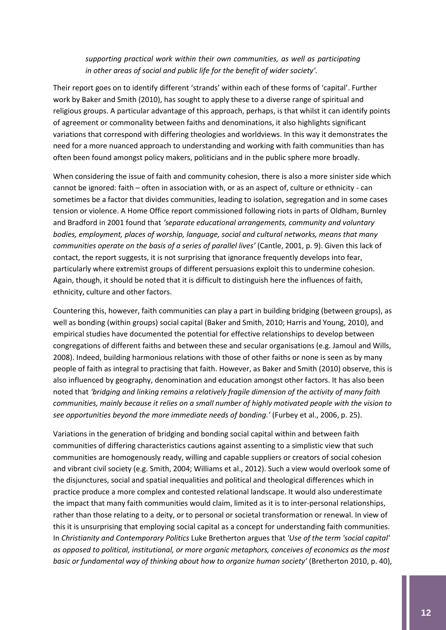#### *supporting practical work within their own communities, as well as participating in other areas of social and public life for the benefit of wider society'.*

Their report goes on to identify different 'strands' within each of these forms of 'capital'. Further work by Baker and Smith (2010), has sought to apply these to a diverse range of spiritual and religious groups. A particular advantage of this approach, perhaps, is that whilst it can identify points of agreement or commonality between faiths and denominations, it also highlights significant variations that correspond with differing theologies and worldviews. In this way it demonstrates the need for a more nuanced approach to understanding and working with faith communities than has often been found amongst policy makers, politicians and in the public sphere more broadly.

When considering the issue of faith and community cohesion, there is also a more sinister side which cannot be ignored: faith – often in association with, or as an aspect of, culture or ethnicity - can sometimes be a factor that divides communities, leading to isolation, segregation and in some cases tension or violence. A Home Office report commissioned following riots in parts of Oldham, Burnley and Bradford in 2001 found that *'separate educational arrangements, community and voluntary bodies, employment, places of worship, language, social and cultural networks, means that many communities operate on the basis of a series of parallel lives'* (Cantle, 2001, p. 9). Given this lack of contact, the report suggests, it is not surprising that ignorance frequently develops into fear, particularly where extremist groups of different persuasions exploit this to undermine cohesion. Again, though, it should be noted that it is difficult to distinguish here the influences of faith, ethnicity, culture and other factors.

Countering this, however, faith communities can play a part in building bridging (between groups), as well as bonding (within groups) social capital (Baker and Smith, 2010; Harris and Young, 2010), and empirical studies have documented the potential for effective relationships to develop between congregations of different faiths and between these and secular organisations (e.g. Jamoul and Wills, 2008). Indeed, building harmonious relations with those of other faiths or none is seen as by many people of faith as integral to practising that faith. However, as Baker and Smith (2010) observe, this is also influenced by geography, denomination and education amongst other factors. It has also been noted that *'bridging and linking remains a relatively fragile dimension of the activity of many faith communities, mainly because it relies on a small number of highly motivated people with the vision to see opportunities beyond the more immediate needs of bonding.'* (Furbey et al., 2006, p. 25).

Variations in the generation of bridging and bonding social capital within and between faith communities of differing characteristics cautions against assenting to a simplistic view that such communities are homogenously ready, willing and capable suppliers or creators of social cohesion and vibrant civil society (e.g. Smith, 2004; Williams et al., 2012). Such a view would overlook some of the disjunctures, social and spatial inequalities and political and theological differences which in practice produce a more complex and contested relational landscape. It would also underestimate the impact that many faith communities would claim, limited as it is to inter-personal relationships, rather than those relating to a deity, or to personal or societal transformation or renewal. In view of this it is unsurprising that employing social capital as a concept for understanding faith communities. In *Christianity and Contemporary Politics* Luke Bretherton argues that *'Use of the term 'social capital' as opposed to political, institutional, or more organic metaphors, conceives of economics as the most basic or fundamental way of thinking about how to organize human society'* (Bretherton 2010, p. 40),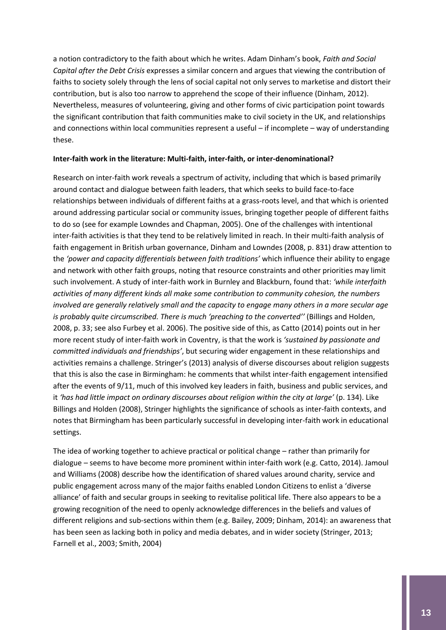a notion contradictory to the faith about which he writes. Adam Dinham's book, *Faith and Social Capital after the Debt Crisis* expresses a similar concern and argues that viewing the contribution of faiths to society solely through the lens of social capital not only serves to marketise and distort their contribution, but is also too narrow to apprehend the scope of their influence (Dinham, 2012). Nevertheless, measures of volunteering, giving and other forms of civic participation point towards the significant contribution that faith communities make to civil society in the UK, and relationships and connections within local communities represent a useful – if incomplete – way of understanding these.

#### **Inter-faith work in the literature: Multi-faith, inter-faith, or inter-denominational?**

Research on inter-faith work reveals a spectrum of activity, including that which is based primarily around contact and dialogue between faith leaders, that which seeks to build face-to-face relationships between individuals of different faiths at a grass-roots level, and that which is oriented around addressing particular social or community issues, bringing together people of different faiths to do so (see for example Lowndes and Chapman, 2005). One of the challenges with intentional inter-faith activities is that they tend to be relatively limited in reach. In their multi-faith analysis of faith engagement in British urban governance, Dinham and Lowndes (2008, p. 831) draw attention to the *'power and capacity differentials between faith traditions'* which influence their ability to engage and network with other faith groups, noting that resource constraints and other priorities may limit such involvement. A study of inter-faith work in Burnley and Blackburn, found that: *'while interfaith activities of many different kinds all make some contribution to community cohesion, the numbers involved are generally relatively small and the capacity to engage many others in a more secular age is probably quite circumscribed. There is much 'preaching to the converted''* (Billings and Holden, 2008, p. 33; see also Furbey et al. 2006). The positive side of this, as Catto (2014) points out in her more recent study of inter-faith work in Coventry, is that the work is *'sustained by passionate and committed individuals and friendships'*, but securing wider engagement in these relationships and activities remains a challenge. Stringer's (2013) analysis of diverse discourses about religion suggests that this is also the case in Birmingham: he comments that whilst inter-faith engagement intensified after the events of 9/11, much of this involved key leaders in faith, business and public services, and it *'has had little impact on ordinary discourses about religion within the city at large'* (p. 134). Like Billings and Holden (2008), Stringer highlights the significance of schools as inter-faith contexts, and notes that Birmingham has been particularly successful in developing inter-faith work in educational settings.

The idea of working together to achieve practical or political change – rather than primarily for dialogue – seems to have become more prominent within inter-faith work (e.g. Catto, 2014). Jamoul and Williams (2008) describe how the identification of shared values around charity, service and public engagement across many of the major faiths enabled London Citizens to enlist a 'diverse alliance' of faith and secular groups in seeking to revitalise political life. There also appears to be a growing recognition of the need to openly acknowledge differences in the beliefs and values of different religions and sub-sections within them (e.g. Bailey, 2009; Dinham, 2014): an awareness that has been seen as lacking both in policy and media debates, and in wider society (Stringer, 2013; Farnell et al., 2003; Smith, 2004)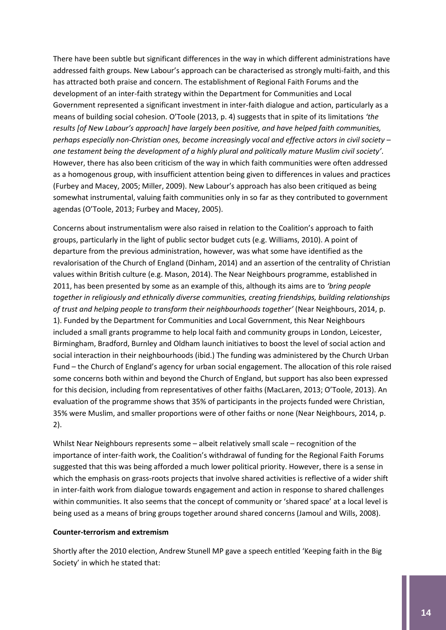There have been subtle but significant differences in the way in which different administrations have addressed faith groups. New Labour's approach can be characterised as strongly multi-faith, and this has attracted both praise and concern. The establishment of Regional Faith Forums and the development of an inter-faith strategy within the Department for Communities and Local Government represented a significant investment in inter-faith dialogue and action, particularly as a means of building social cohesion. O'Toole (2013, p. 4) suggests that in spite of its limitations *'the results [of New Labour's approach] have largely been positive, and have helped faith communities, perhaps especially non-Christian ones, become increasingly vocal and effective actors in civil society – one testament being the development of a highly plural and politically mature Muslim civil society'*. However, there has also been criticism of the way in which faith communities were often addressed as a homogenous group, with insufficient attention being given to differences in values and practices (Furbey and Macey, 2005; Miller, 2009). New Labour's approach has also been critiqued as being somewhat instrumental, valuing faith communities only in so far as they contributed to government agendas (O'Toole, 2013; Furbey and Macey, 2005).

Concerns about instrumentalism were also raised in relation to the Coalition's approach to faith groups, particularly in the light of public sector budget cuts (e.g. Williams, 2010). A point of departure from the previous administration, however, was what some have identified as the revalorisation of the Church of England (Dinham, 2014) and an assertion of the centrality of Christian values within British culture (e.g. Mason, 2014). The Near Neighbours programme, established in 2011, has been presented by some as an example of this, although its aims are to *'bring people together in religiously and ethnically diverse communities, creating friendships, building relationships of trust and helping people to transform their neighbourhoods together'* (Near Neighbours, 2014, p. 1). Funded by the Department for Communities and Local Government, this Near Neighbours included a small grants programme to help local faith and community groups in London, Leicester, Birmingham, Bradford, Burnley and Oldham launch initiatives to boost the level of social action and social interaction in their neighbourhoods (ibid.) The funding was administered by the Church Urban Fund – the Church of England's agency for urban social engagement. The allocation of this role raised some concerns both within and beyond the Church of England, but support has also been expressed for this decision, including from representatives of other faiths (MacLaren, 2013; O'Toole, 2013). An evaluation of the programme shows that 35% of participants in the projects funded were Christian, 35% were Muslim, and smaller proportions were of other faiths or none (Near Neighbours, 2014, p. 2).

Whilst Near Neighbours represents some – albeit relatively small scale – recognition of the importance of inter-faith work, the Coalition's withdrawal of funding for the Regional Faith Forums suggested that this was being afforded a much lower political priority. However, there is a sense in which the emphasis on grass-roots projects that involve shared activities is reflective of a wider shift in inter-faith work from dialogue towards engagement and action in response to shared challenges within communities. It also seems that the concept of community or 'shared space' at a local level is being used as a means of bring groups together around shared concerns (Jamoul and Wills, 2008).

#### **Counter-terrorism and extremism**

Shortly after the 2010 election, Andrew Stunell MP gave a speech entitled 'Keeping faith in the Big Society' in which he stated that: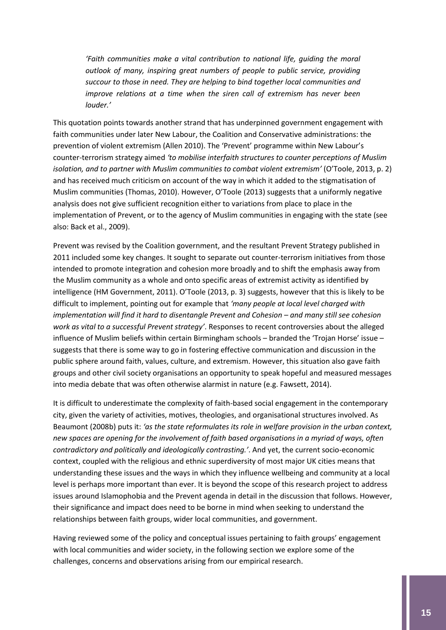*'Faith communities make a vital contribution to national life, guiding the moral outlook of many, inspiring great numbers of people to public service, providing succour to those in need. They are helping to bind together local communities and improve relations at a time when the siren call of extremism has never been louder.'*

This quotation points towards another strand that has underpinned government engagement with faith communities under later New Labour, the Coalition and Conservative administrations: the prevention of violent extremism (Allen 2010). The 'Prevent' programme within New Labour's counter-terrorism strategy aimed *'to mobilise interfaith structures to counter perceptions of Muslim isolation, and to partner with Muslim communities to combat violent extremism'* (O'Toole, 2013, p. 2) and has received much criticism on account of the way in which it added to the stigmatisation of Muslim communities (Thomas, 2010). However, O'Toole (2013) suggests that a uniformly negative analysis does not give sufficient recognition either to variations from place to place in the implementation of Prevent, or to the agency of Muslim communities in engaging with the state (see also: Back et al., 2009).

Prevent was revised by the Coalition government, and the resultant Prevent Strategy published in 2011 included some key changes. It sought to separate out counter-terrorism initiatives from those intended to promote integration and cohesion more broadly and to shift the emphasis away from the Muslim community as a whole and onto specific areas of extremist activity as identified by intelligence (HM Government, 2011). O'Toole (2013, p. 3) suggests, however that this is likely to be difficult to implement, pointing out for example that *'many people at local level charged with implementation will find it hard to disentangle Prevent and Cohesion – and many still see cohesion work as vital to a successful Prevent strategy'*. Responses to recent controversies about the alleged influence of Muslim beliefs within certain Birmingham schools – branded the 'Trojan Horse' issue – suggests that there is some way to go in fostering effective communication and discussion in the public sphere around faith, values, culture, and extremism. However, this situation also gave faith groups and other civil society organisations an opportunity to speak hopeful and measured messages into media debate that was often otherwise alarmist in nature (e.g. Fawsett, 2014).

It is difficult to underestimate the complexity of faith-based social engagement in the contemporary city, given the variety of activities, motives, theologies, and organisational structures involved. As Beaumont (2008b) puts it: *'as the state reformulates its role in welfare provision in the urban context, new spaces are opening for the involvement of faith based organisations in a myriad of ways, often contradictory and politically and ideologically contrasting.'*. And yet, the current socio-economic context, coupled with the religious and ethnic superdiversity of most major UK cities means that understanding these issues and the ways in which they influence wellbeing and community at a local level is perhaps more important than ever. It is beyond the scope of this research project to address issues around Islamophobia and the Prevent agenda in detail in the discussion that follows. However, their significance and impact does need to be borne in mind when seeking to understand the relationships between faith groups, wider local communities, and government.

Having reviewed some of the policy and conceptual issues pertaining to faith groups' engagement with local communities and wider society, in the following section we explore some of the challenges, concerns and observations arising from our empirical research.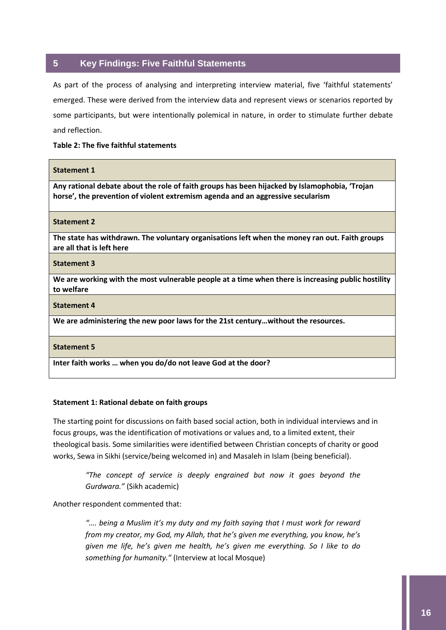#### <span id="page-16-0"></span>**5 Key Findings: Five Faithful Statements**

As part of the process of analysing and interpreting interview material, five 'faithful statements' emerged. These were derived from the interview data and represent views or scenarios reported by some participants, but were intentionally polemical in nature, in order to stimulate further debate and reflection.

#### **Table 2: The five faithful statements**

#### **Statement 1**

**Any rational debate about the role of faith groups has been hijacked by Islamophobia, 'Trojan horse', the prevention of violent extremism agenda and an aggressive secularism**

**Statement 2**

**The state has withdrawn. The voluntary organisations left when the money ran out. Faith groups are all that is left here**

**Statement 3**

**We are working with the most vulnerable people at a time when there is increasing public hostility to welfare**

**Statement 4**

**We are administering the new poor laws for the 21st century…without the resources.**

**Statement 5**

**Inter faith works … when you do/do not leave God at the door?**

#### **Statement 1: Rational debate on faith groups**

The starting point for discussions on faith based social action, both in individual interviews and in focus groups, was the identification of motivations or values and, to a limited extent, their theological basis. Some similarities were identified between Christian concepts of charity or good works, Sewa in Sikhi (service/being welcomed in) and Masaleh in Islam (being beneficial).

> *"The concept of service is deeply engrained but now it goes beyond the Gurdwara."* (Sikh academic)

Another respondent commented that:

".... being a Muslim it's my duty and my faith saying that I must work for reward *from my creator, my God, my Allah, that he's given me everything, you know, he's given me life, he's given me health, he's given me everything. So I like to do something for humanity."* (Interview at local Mosque)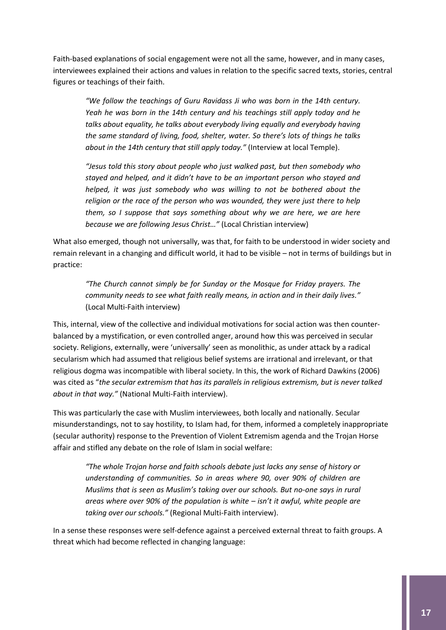Faith-based explanations of social engagement were not all the same, however, and in many cases, interviewees explained their actions and values in relation to the specific sacred texts, stories, central figures or teachings of their faith.

*"We follow the teachings of Guru Ravidass Ji who was born in the 14th century. Yeah he was born in the 14th century and his teachings still apply today and he talks about equality, he talks about everybody living equally and everybody having the same standard of living, food, shelter, water. So there's lots of things he talks about in the 14th century that still apply today."* (Interview at local Temple).

*"Jesus told this story about people who just walked past, but then somebody who stayed and helped, and it didn't have to be an important person who stayed and helped, it was just somebody who was willing to not be bothered about the religion or the race of the person who was wounded, they were just there to help them, so I suppose that says something about why we are here, we are here because we are following Jesus Christ…"* (Local Christian interview)

What also emerged, though not universally, was that, for faith to be understood in wider society and remain relevant in a changing and difficult world, it had to be visible – not in terms of buildings but in practice:

*"The Church cannot simply be for Sunday or the Mosque for Friday prayers. The community needs to see what faith really means, in action and in their daily lives."*  (Local Multi-Faith interview)

This, internal, view of the collective and individual motivations for social action was then counterbalanced by a mystification, or even controlled anger, around how this was perceived in secular society. Religions, externally, were 'universally' seen as monolithic, as under attack by a radical secularism which had assumed that religious belief systems are irrational and irrelevant, or that religious dogma was incompatible with liberal society. In this, the work of Richard Dawkins (2006) was cited as "*the secular extremism that has its parallels in religious extremism, but is never talked about in that way."* (National Multi-Faith interview).

This was particularly the case with Muslim interviewees, both locally and nationally. Secular misunderstandings, not to say hostility, to Islam had, for them, informed a completely inappropriate (secular authority) response to the Prevention of Violent Extremism agenda and the Trojan Horse affair and stifled any debate on the role of Islam in social welfare:

*"The whole Trojan horse and faith schools debate just lacks any sense of history or understanding of communities. So in areas where 90, over 90% of children are Muslims that is seen as Muslim's taking over our schools. But no-one says in rural areas where over 90% of the population is white – isn't it awful, white people are taking over our schools."* (Regional Multi-Faith interview).

In a sense these responses were self-defence against a perceived external threat to faith groups. A threat which had become reflected in changing language: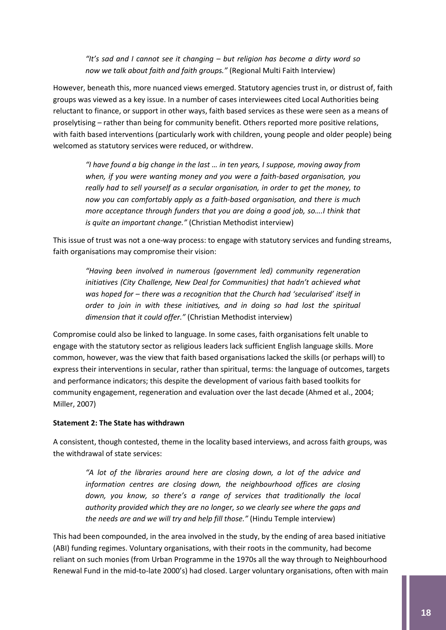*"It's sad and I cannot see it changing – but religion has become a dirty word so now we talk about faith and faith groups."* (Regional Multi Faith Interview)

However, beneath this, more nuanced views emerged. Statutory agencies trust in, or distrust of, faith groups was viewed as a key issue. In a number of cases interviewees cited Local Authorities being reluctant to finance, or support in other ways, faith based services as these were seen as a means of proselytising – rather than being for community benefit. Others reported more positive relations, with faith based interventions (particularly work with children, young people and older people) being welcomed as statutory services were reduced, or withdrew.

*"I have found a big change in the last … in ten years, I suppose, moving away from when, if you were wanting money and you were a faith-based organisation, you really had to sell yourself as a secular organisation, in order to get the money, to now you can comfortably apply as a faith-based organisation, and there is much more acceptance through funders that you are doing a good job, so….I think that is quite an important change."* (Christian Methodist interview)

This issue of trust was not a one-way process: to engage with statutory services and funding streams, faith organisations may compromise their vision:

*"Having been involved in numerous (government led) community regeneration initiatives (City Challenge, New Deal for Communities) that hadn't achieved what was hoped for – there was a recognition that the Church had 'secularised' itself in order to join in with these initiatives, and in doing so had lost the spiritual dimension that it could offer."* (Christian Methodist interview)

Compromise could also be linked to language. In some cases, faith organisations felt unable to engage with the statutory sector as religious leaders lack sufficient English language skills. More common, however, was the view that faith based organisations lacked the skills (or perhaps will) to express their interventions in secular, rather than spiritual, terms: the language of outcomes, targets and performance indicators; this despite the development of various faith based toolkits for community engagement, regeneration and evaluation over the last decade (Ahmed et al., 2004; Miller, 2007)

#### **Statement 2: The State has withdrawn**

A consistent, though contested, theme in the locality based interviews, and across faith groups, was the withdrawal of state services:

*"A lot of the libraries around here are closing down, a lot of the advice and information centres are closing down, the neighbourhood offices are closing down, you know, so there's a range of services that traditionally the local authority provided which they are no longer, so we clearly see where the gaps and the needs are and we will try and help fill those."* (Hindu Temple interview)

This had been compounded, in the area involved in the study, by the ending of area based initiative (ABI) funding regimes. Voluntary organisations, with their roots in the community, had become reliant on such monies (from Urban Programme in the 1970s all the way through to Neighbourhood Renewal Fund in the mid-to-late 2000's) had closed. Larger voluntary organisations, often with main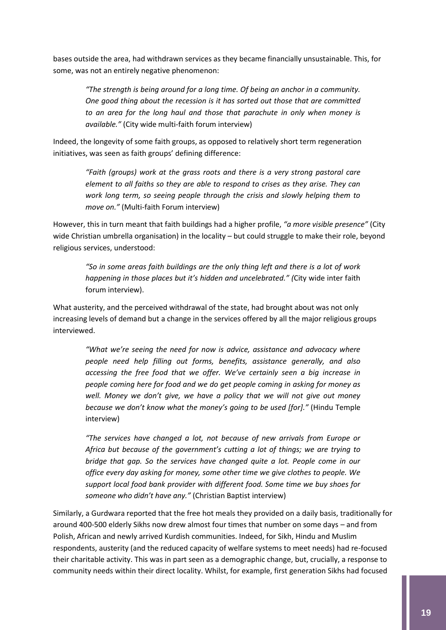bases outside the area, had withdrawn services as they became financially unsustainable. This, for some, was not an entirely negative phenomenon:

*"The strength is being around for a long time. Of being an anchor in a community. One good thing about the recession is it has sorted out those that are committed to an area for the long haul and those that parachute in only when money is available."* (City wide multi-faith forum interview)

Indeed, the longevity of some faith groups, as opposed to relatively short term regeneration initiatives, was seen as faith groups' defining difference:

> *"Faith (groups) work at the grass roots and there is a very strong pastoral care element to all faiths so they are able to respond to crises as they arise. They can work long term, so seeing people through the crisis and slowly helping them to move on."* (Multi-faith Forum interview)

However, this in turn meant that faith buildings had a higher profile, *"a more visible presence"* (City wide Christian umbrella organisation) in the locality – but could struggle to make their role, beyond religious services, understood:

*"So in some areas faith buildings are the only thing left and there is a lot of work happening in those places but it's hidden and uncelebrated." (*City wide inter faith forum interview).

What austerity, and the perceived withdrawal of the state, had brought about was not only increasing levels of demand but a change in the services offered by all the major religious groups interviewed.

*"What we're seeing the need for now is advice, assistance and advocacy where people need help filling out forms, benefits, assistance generally, and also accessing the free food that we offer. We've certainly seen a big increase in people coming here for food and we do get people coming in asking for money as well. Money we don't give, we have a policy that we will not give out money because we don't know what the money's going to be used [for]."* (Hindu Temple interview)

*"The services have changed a lot, not because of new arrivals from Europe or Africa but because of the government's cutting a lot of things; we are trying to bridge that gap. So the services have changed quite a lot. People come in our office every day asking for money, some other time we give clothes to people. We support local food bank provider with different food. Some time we buy shoes for someone who didn't have any."* (Christian Baptist interview)

Similarly, a Gurdwara reported that the free hot meals they provided on a daily basis, traditionally for around 400-500 elderly Sikhs now drew almost four times that number on some days – and from Polish, African and newly arrived Kurdish communities. Indeed, for Sikh, Hindu and Muslim respondents, austerity (and the reduced capacity of welfare systems to meet needs) had re-focused their charitable activity. This was in part seen as a demographic change, but, crucially, a response to community needs within their direct locality. Whilst, for example, first generation Sikhs had focused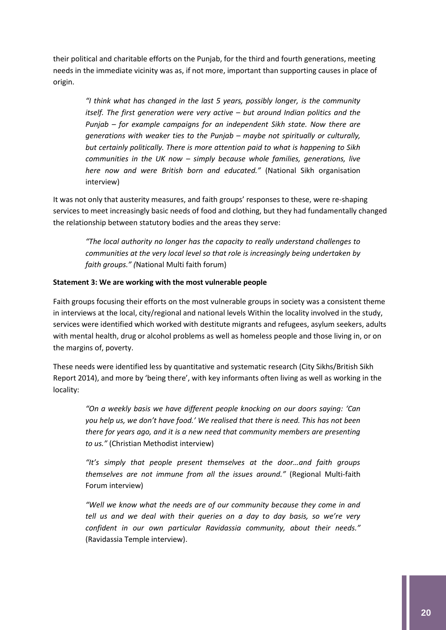their political and charitable efforts on the Punjab, for the third and fourth generations, meeting needs in the immediate vicinity was as, if not more, important than supporting causes in place of origin.

*"I think what has changed in the last 5 years, possibly longer, is the community itself. The first generation were very active – but around Indian politics and the Punjab – for example campaigns for an independent Sikh state. Now there are generations with weaker ties to the Punjab – maybe not spiritually or culturally, but certainly politically. There is more attention paid to what is happening to Sikh communities in the UK now – simply because whole families, generations, live here now and were British born and educated."* (National Sikh organisation interview)

It was not only that austerity measures, and faith groups' responses to these, were re-shaping services to meet increasingly basic needs of food and clothing, but they had fundamentally changed the relationship between statutory bodies and the areas they serve:

*"The local authority no longer has the capacity to really understand challenges to communities at the very local level so that role is increasingly being undertaken by faith groups." (*National Multi faith forum)

#### **Statement 3: We are working with the most vulnerable people**

Faith groups focusing their efforts on the most vulnerable groups in society was a consistent theme in interviews at the local, city/regional and national levels Within the locality involved in the study, services were identified which worked with destitute migrants and refugees, asylum seekers, adults with mental health, drug or alcohol problems as well as homeless people and those living in, or on the margins of, poverty.

These needs were identified less by quantitative and systematic research (City Sikhs/British Sikh Report 2014), and more by 'being there', with key informants often living as well as working in the locality:

*"On a weekly basis we have different people knocking on our doors saying: 'Can you help us, we don't have food.' We realised that there is need. This has not been there for years ago, and it is a new need that community members are presenting to us."* (Christian Methodist interview)

*"It's simply that people present themselves at the door…and faith groups themselves are not immune from all the issues around."* (Regional Multi-faith Forum interview)

*"Well we know what the needs are of our community because they come in and tell us and we deal with their queries on a day to day basis, so we're very confident in our own particular Ravidassia community, about their needs."*  (Ravidassia Temple interview).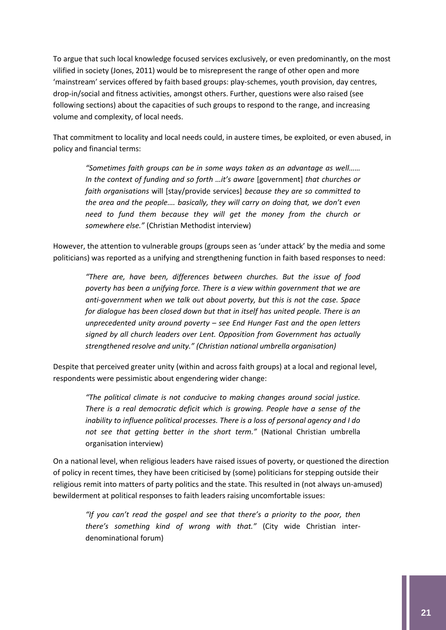To argue that such local knowledge focused services exclusively, or even predominantly, on the most vilified in society (Jones, 2011) would be to misrepresent the range of other open and more 'mainstream' services offered by faith based groups: play-schemes, youth provision, day centres, drop-in/social and fitness activities, amongst others. Further, questions were also raised (see following sections) about the capacities of such groups to respond to the range, and increasing volume and complexity, of local needs.

That commitment to locality and local needs could, in austere times, be exploited, or even abused, in policy and financial terms:

*"Sometimes faith groups can be in some ways taken as an advantage as well…… In the context of funding and so forth …it's aware* [government] *that churches or faith organisations* will [stay/provide services] *because they are so committed to the area and the people…. basically, they will carry on doing that, we don't even need to fund them because they will get the money from the church or somewhere else."* (Christian Methodist interview)

However, the attention to vulnerable groups (groups seen as 'under attack' by the media and some politicians) was reported as a unifying and strengthening function in faith based responses to need:

*"There are, have been, differences between churches. But the issue of food poverty has been a unifying force. There is a view within government that we are anti-government when we talk out about poverty, but this is not the case. Space for dialogue has been closed down but that in itself has united people. There is an unprecedented unity around poverty – see End Hunger Fast and the open letters signed by all church leaders over Lent. Opposition from Government has actually strengthened resolve and unity." (Christian national umbrella organisation)*

Despite that perceived greater unity (within and across faith groups) at a local and regional level, respondents were pessimistic about engendering wider change:

*"The political climate is not conducive to making changes around social justice. There is a real democratic deficit which is growing. People have a sense of the inability to influence political processes. There is a loss of personal agency and I do not see that getting better in the short term."* (National Christian umbrella organisation interview)

On a national level, when religious leaders have raised issues of poverty, or questioned the direction of policy in recent times, they have been criticised by (some) politicians for stepping outside their religious remit into matters of party politics and the state. This resulted in (not always un-amused) bewilderment at political responses to faith leaders raising uncomfortable issues:

*"If you can't read the gospel and see that there's a priority to the poor, then there's something kind of wrong with that."* (City wide Christian interdenominational forum)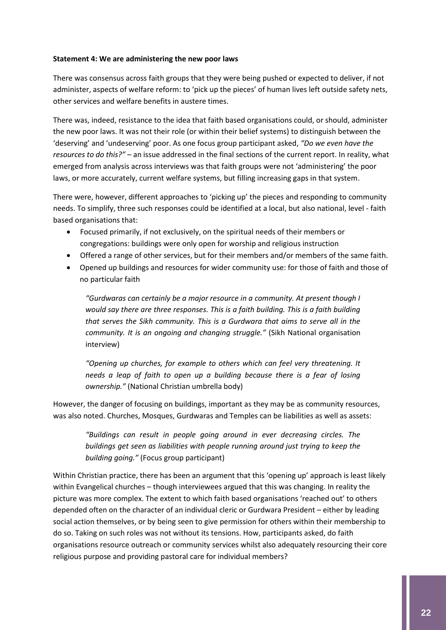#### **Statement 4: We are administering the new poor laws**

There was consensus across faith groups that they were being pushed or expected to deliver, if not administer, aspects of welfare reform: to 'pick up the pieces' of human lives left outside safety nets, other services and welfare benefits in austere times.

There was, indeed, resistance to the idea that faith based organisations could, or should, administer the new poor laws. It was not their role (or within their belief systems) to distinguish between the 'deserving' and 'undeserving' poor. As one focus group participant asked, *"Do we even have the resources to do this?"* – an issue addressed in the final sections of the current report. In reality, what emerged from analysis across interviews was that faith groups were not 'administering' the poor laws, or more accurately, current welfare systems, but filling increasing gaps in that system.

There were, however, different approaches to 'picking up' the pieces and responding to community needs. To simplify, three such responses could be identified at a local, but also national, level - faith based organisations that:

- Focused primarily, if not exclusively, on the spiritual needs of their members or congregations: buildings were only open for worship and religious instruction
- Offered a range of other services, but for their members and/or members of the same faith.
- Opened up buildings and resources for wider community use: for those of faith and those of no particular faith

*"Gurdwaras can certainly be a major resource in a community. At present though I would say there are three responses. This is a faith building. This is a faith building that serves the Sikh community. This is a Gurdwara that aims to serve all in the community. It is an ongoing and changing struggle."* (Sikh National organisation interview)

*"Opening up churches, for example to others which can feel very threatening. It needs a leap of faith to open up a building because there is a fear of losing ownership."* (National Christian umbrella body)

However, the danger of focusing on buildings, important as they may be as community resources, was also noted. Churches, Mosques, Gurdwaras and Temples can be liabilities as well as assets:

*"Buildings can result in people going around in ever decreasing circles. The buildings get seen as liabilities with people running around just trying to keep the building going."* (Focus group participant)

Within Christian practice, there has been an argument that this 'opening up' approach is least likely within Evangelical churches – though interviewees argued that this was changing. In reality the picture was more complex. The extent to which faith based organisations 'reached out' to others depended often on the character of an individual cleric or Gurdwara President – either by leading social action themselves, or by being seen to give permission for others within their membership to do so. Taking on such roles was not without its tensions. How, participants asked, do faith organisations resource outreach or community services whilst also adequately resourcing their core religious purpose and providing pastoral care for individual members?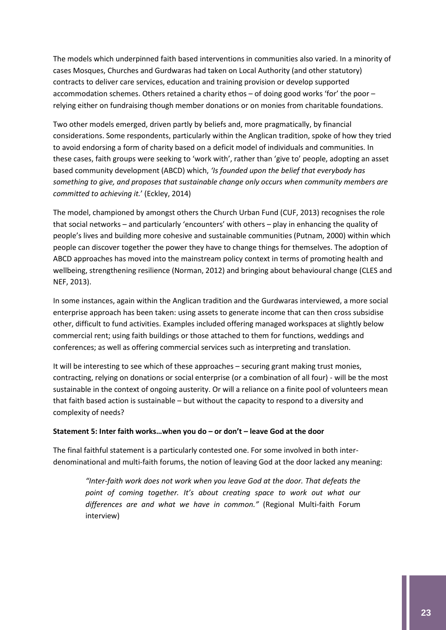The models which underpinned faith based interventions in communities also varied. In a minority of cases Mosques, Churches and Gurdwaras had taken on Local Authority (and other statutory) contracts to deliver care services, education and training provision or develop supported accommodation schemes. Others retained a charity ethos – of doing good works 'for' the poor – relying either on fundraising though member donations or on monies from charitable foundations.

Two other models emerged, driven partly by beliefs and, more pragmatically, by financial considerations. Some respondents, particularly within the Anglican tradition, spoke of how they tried to avoid endorsing a form of charity based on a deficit model of individuals and communities. In these cases, faith groups were seeking to 'work with', rather than 'give to' people, adopting an asset based community development (ABCD) which, *'Is founded upon the belief that everybody has something to give, and proposes that sustainable change only occurs when community members are committed to achieving it.*' (Eckley, 2014)

The model, championed by amongst others the Church Urban Fund (CUF, 2013) recognises the role that social networks – and particularly 'encounters' with others – play in enhancing the quality of people's lives and building more cohesive and sustainable communities (Putnam, 2000) within which people can discover together the power they have to change things for themselves. The adoption of ABCD approaches has moved into the mainstream policy context in terms of promoting health and wellbeing, strengthening resilience (Norman, 2012) and bringing about behavioural change (CLES and NEF, 2013).

In some instances, again within the Anglican tradition and the Gurdwaras interviewed, a more social enterprise approach has been taken: using assets to generate income that can then cross subsidise other, difficult to fund activities. Examples included offering managed workspaces at slightly below commercial rent; using faith buildings or those attached to them for functions, weddings and conferences; as well as offering commercial services such as interpreting and translation.

It will be interesting to see which of these approaches – securing grant making trust monies, contracting, relying on donations or social enterprise (or a combination of all four) - will be the most sustainable in the context of ongoing austerity. Or will a reliance on a finite pool of volunteers mean that faith based action is sustainable – but without the capacity to respond to a diversity and complexity of needs?

#### **Statement 5: Inter faith works…when you do – or don't – leave God at the door**

The final faithful statement is a particularly contested one. For some involved in both interdenominational and multi-faith forums, the notion of leaving God at the door lacked any meaning:

*"Inter-faith work does not work when you leave God at the door. That defeats the point of coming together. It's about creating space to work out what our differences are and what we have in common."* (Regional Multi-faith Forum interview)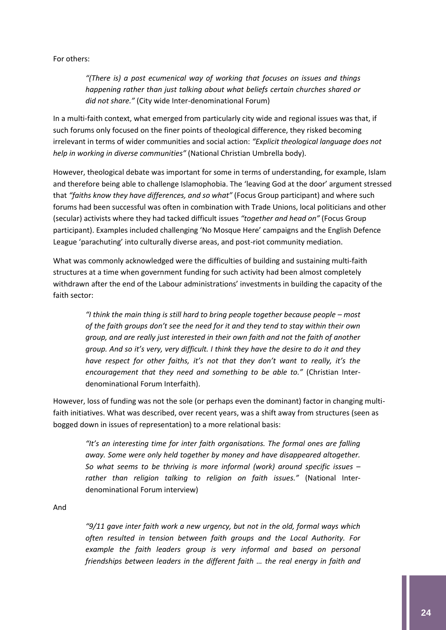For others:

*"(There is) a post ecumenical way of working that focuses on issues and things happening rather than just talking about what beliefs certain churches shared or did not share."* (City wide Inter-denominational Forum)

In a multi-faith context, what emerged from particularly city wide and regional issues was that, if such forums only focused on the finer points of theological difference, they risked becoming irrelevant in terms of wider communities and social action: *"Explicit theological language does not help in working in diverse communities"* (National Christian Umbrella body).

However, theological debate was important for some in terms of understanding, for example, Islam and therefore being able to challenge Islamophobia. The 'leaving God at the door' argument stressed that *"faiths know they have differences, and so what"* (Focus Group participant) and where such forums had been successful was often in combination with Trade Unions, local politicians and other (secular) activists where they had tacked difficult issues *"together and head on"* (Focus Group participant). Examples included challenging 'No Mosque Here' campaigns and the English Defence League 'parachuting' into culturally diverse areas, and post-riot community mediation.

What was commonly acknowledged were the difficulties of building and sustaining multi-faith structures at a time when government funding for such activity had been almost completely withdrawn after the end of the Labour administrations' investments in building the capacity of the faith sector:

*"I think the main thing is still hard to bring people together because people – most of the faith groups don't see the need for it and they tend to stay within their own group, and are really just interested in their own faith and not the faith of another group. And so it's very, very difficult. I think they have the desire to do it and they have respect for other faiths, it's not that they don't want to really, it's the encouragement that they need and something to be able to."* (Christian Interdenominational Forum Interfaith).

However, loss of funding was not the sole (or perhaps even the dominant) factor in changing multifaith initiatives. What was described, over recent years, was a shift away from structures (seen as bogged down in issues of representation) to a more relational basis:

*"It's an interesting time for inter faith organisations. The formal ones are falling away. Some were only held together by money and have disappeared altogether. So what seems to be thriving is more informal (work) around specific issues – rather than religion talking to religion on faith issues."* (National Interdenominational Forum interview)

And

*"9/11 gave inter faith work a new urgency, but not in the old, formal ways which often resulted in tension between faith groups and the Local Authority. For example the faith leaders group is very informal and based on personal friendships between leaders in the different faith … the real energy in faith and*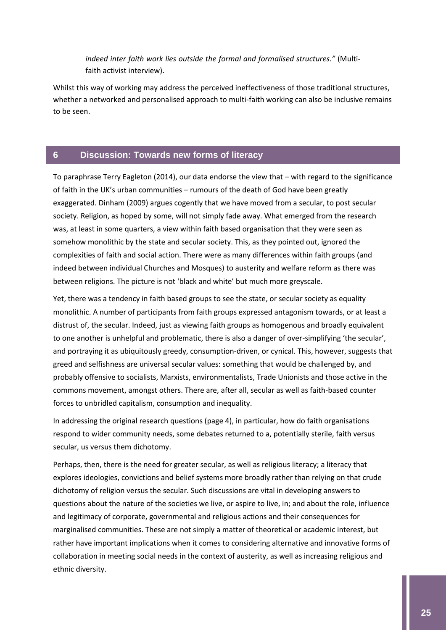*indeed inter faith work lies outside the formal and formalised structures."* (Multifaith activist interview).

Whilst this way of working may address the perceived ineffectiveness of those traditional structures, whether a networked and personalised approach to multi-faith working can also be inclusive remains to be seen.

#### <span id="page-25-0"></span>**6 Discussion: Towards new forms of literacy**

To paraphrase Terry Eagleton (2014), our data endorse the view that – with regard to the significance of faith in the UK's urban communities – rumours of the death of God have been greatly exaggerated. Dinham (2009) argues cogently that we have moved from a secular, to post secular society. Religion, as hoped by some, will not simply fade away. What emerged from the research was, at least in some quarters, a view within faith based organisation that they were seen as somehow monolithic by the state and secular society. This, as they pointed out, ignored the complexities of faith and social action. There were as many differences within faith groups (and indeed between individual Churches and Mosques) to austerity and welfare reform as there was between religions. The picture is not 'black and white' but much more greyscale.

Yet, there was a tendency in faith based groups to see the state, or secular society as equality monolithic. A number of participants from faith groups expressed antagonism towards, or at least a distrust of, the secular. Indeed, just as viewing faith groups as homogenous and broadly equivalent to one another is unhelpful and problematic, there is also a danger of over-simplifying 'the secular', and portraying it as ubiquitously greedy, consumption-driven, or cynical. This, however, suggests that greed and selfishness are universal secular values: something that would be challenged by, and probably offensive to socialists, Marxists, environmentalists, Trade Unionists and those active in the commons movement, amongst others. There are, after all, secular as well as faith-based counter forces to unbridled capitalism, consumption and inequality.

In addressing the original research questions (page 4), in particular, how do faith organisations respond to wider community needs, some debates returned to a, potentially sterile, faith versus secular, us versus them dichotomy.

Perhaps, then, there is the need for greater secular, as well as religious literacy; a literacy that explores ideologies, convictions and belief systems more broadly rather than relying on that crude dichotomy of religion versus the secular. Such discussions are vital in developing answers to questions about the nature of the societies we live, or aspire to live, in; and about the role, influence and legitimacy of corporate, governmental and religious actions and their consequences for marginalised communities. These are not simply a matter of theoretical or academic interest, but rather have important implications when it comes to considering alternative and innovative forms of collaboration in meeting social needs in the context of austerity, as well as increasing religious and ethnic diversity.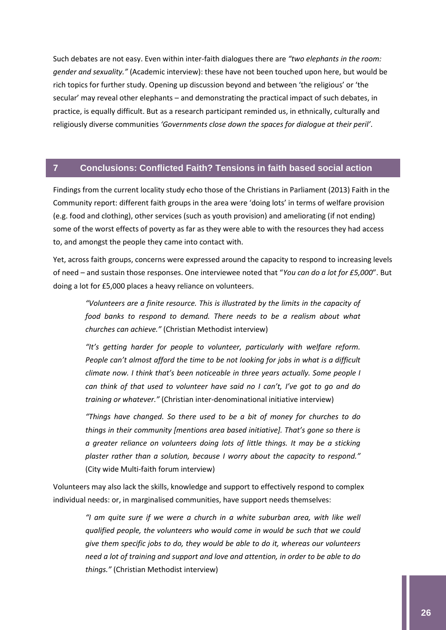Such debates are not easy. Even within inter-faith dialogues there are *"two elephants in the room: gender and sexuality."* (Academic interview): these have not been touched upon here, but would be rich topics for further study. Opening up discussion beyond and between 'the religious' or 'the secular' may reveal other elephants – and demonstrating the practical impact of such debates, in practice, is equally difficult. But as a research participant reminded us, in ethnically, culturally and religiously diverse communities *'Governments close down the spaces for dialogue at their peril'*.

#### <span id="page-26-0"></span>**7 Conclusions: Conflicted Faith? Tensions in faith based social action**

Findings from the current locality study echo those of the Christians in Parliament (2013) Faith in the Community report: different faith groups in the area were 'doing lots' in terms of welfare provision (e.g. food and clothing), other services (such as youth provision) and ameliorating (if not ending) some of the worst effects of poverty as far as they were able to with the resources they had access to, and amongst the people they came into contact with.

Yet, across faith groups, concerns were expressed around the capacity to respond to increasing levels of need – and sustain those responses. One interviewee noted that "*You can do a lot for £5,000*". But doing a lot for £5,000 places a heavy reliance on volunteers.

*"Volunteers are a finite resource. This is illustrated by the limits in the capacity of food banks to respond to demand. There needs to be a realism about what churches can achieve."* (Christian Methodist interview)

*"It's getting harder for people to volunteer, particularly with welfare reform. People can't almost afford the time to be not looking for jobs in what is a difficult climate now. I think that's been noticeable in three years actually. Some people I can think of that used to volunteer have said no I can't, I've got to go and do training or whatever."* (Christian inter-denominational initiative interview)

*"Things have changed. So there used to be a bit of money for churches to do things in their community [mentions area based initiative]. That's gone so there is a greater reliance on volunteers doing lots of little things. It may be a sticking plaster rather than a solution, because I worry about the capacity to respond."* (City wide Multi-faith forum interview)

Volunteers may also lack the skills, knowledge and support to effectively respond to complex individual needs: or, in marginalised communities, have support needs themselves:

> *"I am quite sure if we were a church in a white suburban area, with like well qualified people, the volunteers who would come in would be such that we could give them specific jobs to do, they would be able to do it, whereas our volunteers need a lot of training and support and love and attention, in order to be able to do things."* (Christian Methodist interview)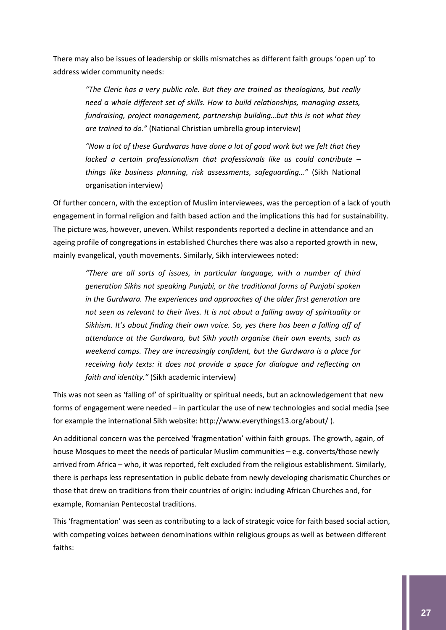There may also be issues of leadership or skills mismatches as different faith groups 'open up' to address wider community needs:

*"The Cleric has a very public role. But they are trained as theologians, but really need a whole different set of skills. How to build relationships, managing assets, fundraising, project management, partnership building…but this is not what they are trained to do."* (National Christian umbrella group interview)

*"Now a lot of these Gurdwaras have done a lot of good work but we felt that they lacked a certain professionalism that professionals like us could contribute – things like business planning, risk assessments, safeguarding…"* (Sikh National organisation interview)

Of further concern, with the exception of Muslim interviewees, was the perception of a lack of youth engagement in formal religion and faith based action and the implications this had for sustainability. The picture was, however, uneven. Whilst respondents reported a decline in attendance and an ageing profile of congregations in established Churches there was also a reported growth in new, mainly evangelical, youth movements. Similarly, Sikh interviewees noted:

*"There are all sorts of issues, in particular language, with a number of third generation Sikhs not speaking Punjabi, or the traditional forms of Punjabi spoken in the Gurdwara. The experiences and approaches of the older first generation are not seen as relevant to their lives. It is not about a falling away of spirituality or Sikhism. It's about finding their own voice. So, yes there has been a falling off of attendance at the Gurdwara, but Sikh youth organise their own events, such as weekend camps. They are increasingly confident, but the Gurdwara is a place for receiving holy texts: it does not provide a space for dialogue and reflecting on faith and identity."* (Sikh academic interview)

This was not seen as 'falling of' of spirituality or spiritual needs, but an acknowledgement that new forms of engagement were needed – in particular the use of new technologies and social media (see for example the international Sikh website: http://www.everythings13.org/about/ ).

An additional concern was the perceived 'fragmentation' within faith groups. The growth, again, of house Mosques to meet the needs of particular Muslim communities – e.g. converts/those newly arrived from Africa – who, it was reported, felt excluded from the religious establishment. Similarly, there is perhaps less representation in public debate from newly developing charismatic Churches or those that drew on traditions from their countries of origin: including African Churches and, for example, Romanian Pentecostal traditions.

This 'fragmentation' was seen as contributing to a lack of strategic voice for faith based social action, with competing voices between denominations within religious groups as well as between different faiths: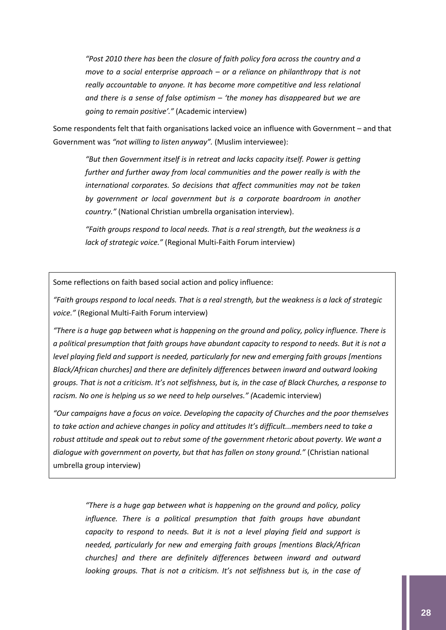*"Post 2010 there has been the closure of faith policy fora across the country and a move to a social enterprise approach – or a reliance on philanthropy that is not really accountable to anyone. It has become more competitive and less relational and there is a sense of false optimism – 'the money has disappeared but we are going to remain positive'."* (Academic interview)

Some respondents felt that faith organisations lacked voice an influence with Government – and that Government was *"not willing to listen anyway".* (Muslim interviewee):

*"But then Government itself is in retreat and lacks capacity itself. Power is getting further and further away from local communities and the power really is with the international corporates. So decisions that affect communities may not be taken by government or local government but is a corporate boardroom in another country."* (National Christian umbrella organisation interview).

*"Faith groups respond to local needs. That is a real strength, but the weakness is a lack of strategic voice."* (Regional Multi-Faith Forum interview)

Some reflections on faith based social action and policy influence:

*"Faith groups respond to local needs. That is a real strength, but the weakness is a lack of strategic voice."* (Regional Multi-Faith Forum interview)

*"There is a huge gap between what is happening on the ground and policy, policy influence. There is a political presumption that faith groups have abundant capacity to respond to needs. But it is not a level playing field and support is needed, particularly for new and emerging faith groups [mentions Black/African churches] and there are definitely differences between inward and outward looking groups. That is not a criticism. It's not selfishness, but is, in the case of Black Churches, a response to racism. No one is helping us so we need to help ourselves." (*Academic interview)

*"Our campaigns have a focus on voice. Developing the capacity of Churches and the poor themselves to take action and achieve changes in policy and attitudes It's difficult...members need to take a robust attitude and speak out to rebut some of the government rhetoric about poverty. We want a dialogue with government on poverty, but that has fallen on stony ground."* (Christian national umbrella group interview)

*"There is a huge gap between what is happening on the ground and policy, policy influence. There is a political presumption that faith groups have abundant capacity to respond to needs. But it is not a level playing field and support is needed, particularly for new and emerging faith groups [mentions Black/African churches] and there are definitely differences between inward and outward looking groups. That is not a criticism. It's not selfishness but is, in the case of*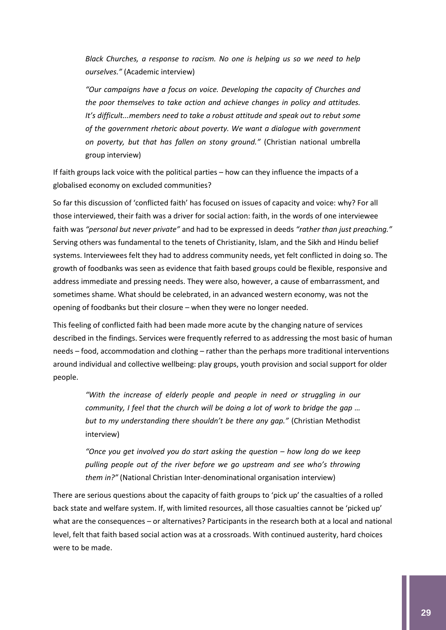*Black Churches, a response to racism. No one is helping us so we need to help ourselves."* (Academic interview)

*"Our campaigns have a focus on voice. Developing the capacity of Churches and the poor themselves to take action and achieve changes in policy and attitudes. It's difficult...members need to take a robust attitude and speak out to rebut some of the government rhetoric about poverty. We want a dialogue with government on poverty, but that has fallen on stony ground."* (Christian national umbrella group interview)

If faith groups lack voice with the political parties – how can they influence the impacts of a globalised economy on excluded communities?

So far this discussion of 'conflicted faith' has focused on issues of capacity and voice: why? For all those interviewed, their faith was a driver for social action: faith, in the words of one interviewee faith was *"personal but never private"* and had to be expressed in deeds *"rather than just preaching."* Serving others was fundamental to the tenets of Christianity, Islam, and the Sikh and Hindu belief systems. Interviewees felt they had to address community needs, yet felt conflicted in doing so. The growth of foodbanks was seen as evidence that faith based groups could be flexible, responsive and address immediate and pressing needs. They were also, however, a cause of embarrassment, and sometimes shame. What should be celebrated, in an advanced western economy, was not the opening of foodbanks but their closure – when they were no longer needed.

This feeling of conflicted faith had been made more acute by the changing nature of services described in the findings. Services were frequently referred to as addressing the most basic of human needs – food, accommodation and clothing – rather than the perhaps more traditional interventions around individual and collective wellbeing: play groups, youth provision and social support for older people.

*"With the increase of elderly people and people in need or struggling in our community, I feel that the church will be doing a lot of work to bridge the gap … but to my understanding there shouldn't be there any gap."* (Christian Methodist interview)

*"Once you get involved you do start asking the question – how long do we keep pulling people out of the river before we go upstream and see who's throwing them in?"* (National Christian Inter-denominational organisation interview)

There are serious questions about the capacity of faith groups to 'pick up' the casualties of a rolled back state and welfare system. If, with limited resources, all those casualties cannot be 'picked up' what are the consequences – or alternatives? Participants in the research both at a local and national level, felt that faith based social action was at a crossroads. With continued austerity, hard choices were to be made.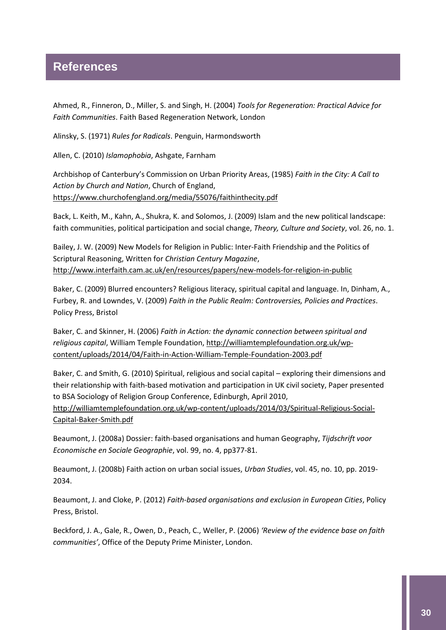## <span id="page-30-0"></span>**References**

Ahmed, R., Finneron, D., Miller, S. and Singh, H. (2004) *Tools for Regeneration: Practical Advice for Faith Communities*. Faith Based Regeneration Network, London

Alinsky, S. (1971) *Rules for Radicals*. Penguin, Harmondsworth

Allen, C. (2010) *Islamophobia*, Ashgate, Farnham

Archbishop of Canterbury's Commission on Urban Priority Areas, (1985) *Faith in the City: A Call to Action by Church and Nation*, Church of England, <https://www.churchofengland.org/media/55076/faithinthecity.pdf>

Back, L. Keith, M., Kahn, A., Shukra, K. and Solomos, J. (2009) Islam and the new political landscape: faith communities, political participation and social change, *Theory, Culture and Society*, vol. 26, no. 1.

Bailey, J. W. (2009) New Models for Religion in Public: Inter-Faith Friendship and the Politics of Scriptural Reasoning, Written for *Christian Century Magazine*, <http://www.interfaith.cam.ac.uk/en/resources/papers/new-models-for-religion-in-public>

Baker, C. (2009) Blurred encounters? Religious literacy, spiritual capital and language. In, Dinham, A., Furbey, R. and Lowndes, V. (2009) *Faith in the Public Realm: Controversies, Policies and Practices*. Policy Press, Bristol

Baker, C. and Skinner, H. (2006) *Faith in Action: the dynamic connection between spiritual and religious capital*, William Temple Foundation[, http://williamtemplefoundation.org.uk/wp](http://williamtemplefoundation.org.uk/wp-content/uploads/2014/04/Faith-in-Action-William-Temple-Foundation-2003.pdf)[content/uploads/2014/04/Faith-in-Action-William-Temple-Foundation-2003.pdf](http://williamtemplefoundation.org.uk/wp-content/uploads/2014/04/Faith-in-Action-William-Temple-Foundation-2003.pdf)

Baker, C. and Smith, G. (2010) Spiritual, religious and social capital – exploring their dimensions and their relationship with faith-based motivation and participation in UK civil society, Paper presented to BSA Sociology of Religion Group Conference, Edinburgh, April 2010, [http://williamtemplefoundation.org.uk/wp-content/uploads/2014/03/Spiritual-Religious-Social-](http://williamtemplefoundation.org.uk/wp-content/uploads/2014/03/Spiritual-Religious-Social-Capital-Baker-Smith.pdf)[Capital-Baker-Smith.pdf](http://williamtemplefoundation.org.uk/wp-content/uploads/2014/03/Spiritual-Religious-Social-Capital-Baker-Smith.pdf)

Beaumont, J. (2008a) Dossier: faith-based organisations and human Geography, *Tijdschrift voor Economische en Sociale Geographie*, vol. 99, no. 4, pp377-81.

Beaumont, J. (2008b) Faith action on urban social issues, *Urban Studies*, vol. 45, no. 10, pp. 2019- 2034.

Beaumont, J. and Cloke, P. (2012) *Faith-based organisations and exclusion in European Cities*, Policy Press, Bristol.

Beckford, J. A., Gale, R., Owen, D., Peach, C., Weller, P. (2006) *'Review of the evidence base on faith communities'*, Office of the Deputy Prime Minister, London.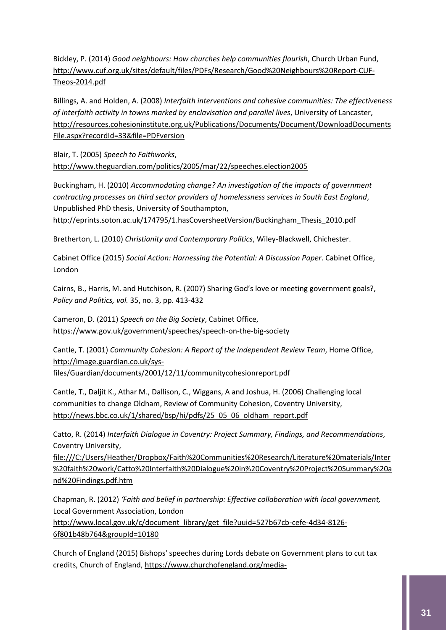Bickley, P. (2014) *Good neighbours: How churches help communities flourish*, Church Urban Fund, [http://www.cuf.org.uk/sites/default/files/PDFs/Research/Good%20Neighbours%20Report-CUF-](http://www.cuf.org.uk/sites/default/files/PDFs/Research/Good%20Neighbours%20Report-CUF-Theos-2014.pdf)[Theos-2014.pdf](http://www.cuf.org.uk/sites/default/files/PDFs/Research/Good%20Neighbours%20Report-CUF-Theos-2014.pdf)

Billings, A. and Holden, A. (2008) *Interfaith interventions and cohesive communities: The effectiveness of interfaith activity in towns marked by enclavisation and parallel lives*, University of Lancaster, [http://resources.cohesioninstitute.org.uk/Publications/Documents/Document/DownloadDocuments](http://resources.cohesioninstitute.org.uk/Publications/Documents/Document/DownloadDocumentsFile.aspx?recordId=33&file=PDFversion) [File.aspx?recordId=33&file=PDFversion](http://resources.cohesioninstitute.org.uk/Publications/Documents/Document/DownloadDocumentsFile.aspx?recordId=33&file=PDFversion)

Blair, T. (2005) *Speech to Faithworks*, <http://www.theguardian.com/politics/2005/mar/22/speeches.election2005>

Buckingham, H. (2010) *Accommodating change? An investigation of the impacts of government contracting processes on third sector providers of homelessness services in South East England*, Unpublished PhD thesis, University of Southampton, [http://eprints.soton.ac.uk/174795/1.hasCoversheetVersion/Buckingham\\_Thesis\\_2010.pdf](http://eprints.soton.ac.uk/174795/1.hasCoversheetVersion/Buckingham_Thesis_2010.pdf)

Bretherton, L. (2010) *Christianity and Contemporary Politics*, Wiley-Blackwell, Chichester.

Cabinet Office (2015) *Social Action: Harnessing the Potential: A Discussion Paper*. Cabinet Office, London

Cairns, B., Harris, M. and Hutchison, R. (2007) Sharing God's love or meeting government goals?, *Policy and Politics, vol.* 35, no. 3, pp. 413-432

Cameron, D. (2011) *Speech on the Big Society*, Cabinet Office, <https://www.gov.uk/government/speeches/speech-on-the-big-society>

Cantle, T. (2001) *Community Cohesion: A Report of the Independent Review Team*, Home Office, [http://image.guardian.co.uk/sys](http://image.guardian.co.uk/sys-files/Guardian/documents/2001/12/11/communitycohesionreport.pdf)[files/Guardian/documents/2001/12/11/communitycohesionreport.pdf](http://image.guardian.co.uk/sys-files/Guardian/documents/2001/12/11/communitycohesionreport.pdf)

Cantle, T., Daljit K., Athar M., Dallison, C., Wiggans, A and Joshua, H. (2006) Challenging local communities to change Oldham, Review of Community Cohesion, Coventry University, http://news.bbc.co.uk/1/shared/bsp/hi/pdfs/25\_05\_06\_oldham\_report.pdf

Catto, R. (2014) *Interfaith Dialogue in Coventry: Project Summary, Findings, and Recommendations*, Coventry University,

[file:///C:/Users/Heather/Dropbox/Faith%20Communities%20Research/Literature%20materials/Inter](file:///C:/Users/Heather/Dropbox/Faith%20Communities%20Research/Literature%20materials/Inter%20faith%20work/Catto%20Interfaith%20Dialogue%20in%20Coventry%20Project%20Summary%20and%20Findings.pdf.htm) [%20faith%20work/Catto%20Interfaith%20Dialogue%20in%20Coventry%20Project%20Summary%20a](file:///C:/Users/Heather/Dropbox/Faith%20Communities%20Research/Literature%20materials/Inter%20faith%20work/Catto%20Interfaith%20Dialogue%20in%20Coventry%20Project%20Summary%20and%20Findings.pdf.htm) [nd%20Findings.pdf.htm](file:///C:/Users/Heather/Dropbox/Faith%20Communities%20Research/Literature%20materials/Inter%20faith%20work/Catto%20Interfaith%20Dialogue%20in%20Coventry%20Project%20Summary%20and%20Findings.pdf.htm)

Chapman, R. (2012) *'Faith and belief in partnership: Effective collaboration with local government,* Local Government Association, London [http://www.local.gov.uk/c/document\\_library/get\\_file?uuid=527b67cb-cefe-4d34-8126-](http://www.local.gov.uk/c/document_library/get_file?uuid=527b67cb-cefe-4d34-8126-6f801b48b764&groupId=10180) [6f801b48b764&groupId=10180](http://www.local.gov.uk/c/document_library/get_file?uuid=527b67cb-cefe-4d34-8126-6f801b48b764&groupId=10180)

Church of England (2015) Bishops' speeches during Lords debate on Government plans to cut tax credits, Church of England, [https://www.churchofengland.org/media-](https://www.churchofengland.org/media-centre/news/2015/10/bishops)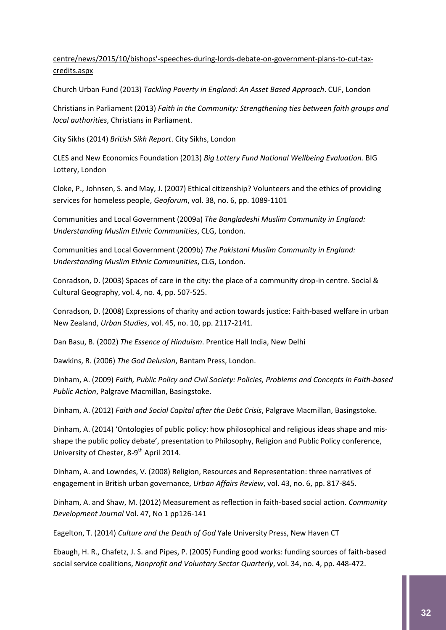#### [centre/news/2015/10/bishops'-speeches-during-lords-debate-on-government-plans-to-cut-tax](https://www.churchofengland.org/media-centre/news/2015/10/bishops)[credits.aspx](https://www.churchofengland.org/media-centre/news/2015/10/bishops)

Church Urban Fund (2013) *Tackling Poverty in England: An Asset Based Approach*. CUF, London

Christians in Parliament (2013) *Faith in the Community: Strengthening ties between faith groups and local authorities*, Christians in Parliament.

City Sikhs (2014) *British Sikh Report*. City Sikhs, London

CLES and New Economics Foundation (2013) *Big Lottery Fund National Wellbeing Evaluation.* BIG Lottery, London

Cloke, P., Johnsen, S. and May, J. (2007) Ethical citizenship? Volunteers and the ethics of providing services for homeless people, *Geoforum*, vol. 38, no. 6, pp. 1089-1101

Communities and Local Government (2009a) *The Bangladeshi Muslim Community in England: Understanding Muslim Ethnic Communities*, CLG, London.

Communities and Local Government (2009b) *The Pakistani Muslim Community in England: Understanding Muslim Ethnic Communities*, CLG, London.

Conradson, D. (2003) Spaces of care in the city: the place of a community drop-in centre. Social & Cultural Geography, vol. 4, no. 4, pp. 507-525.

Conradson, D. (2008) Expressions of charity and action towards justice: Faith-based welfare in urban New Zealand, *Urban Studies*, vol. 45, no. 10, pp. 2117-2141.

Dan Basu, B. (2002) *The Essence of Hinduism*. Prentice Hall India, New Delhi

Dawkins, R. (2006) *The God Delusion*, Bantam Press, London.

Dinham, A. (2009) *Faith, Public Policy and Civil Society: Policies, Problems and Concepts in Faith-based Public Action*, Palgrave Macmillan, Basingstoke.

Dinham, A. (2012) *Faith and Social Capital after the Debt Crisis*, Palgrave Macmillan, Basingstoke.

Dinham, A. (2014) 'Ontologies of public policy: how philosophical and religious ideas shape and misshape the public policy debate', presentation to Philosophy, Religion and Public Policy conference, University of Chester, 8-9<sup>th</sup> April 2014.

Dinham, A. and Lowndes, V. (2008) Religion, Resources and Representation: three narratives of engagement in British urban governance, *Urban Affairs Review*, vol. 43, no. 6, pp. 817-845.

Dinham, A. and Shaw, M. (2012) Measurement as reflection in faith-based social action. *Community Development Journal* Vol. 47, No 1 pp126-141

Eagelton, T. (2014) *Culture and the Death of God* Yale University Press, New Haven CT

Ebaugh, H. R., Chafetz, J. S. and Pipes, P. (2005) Funding good works: funding sources of faith-based social service coalitions, *Nonprofit and Voluntary Sector Quarterly*, vol. 34, no. 4, pp. 448-472.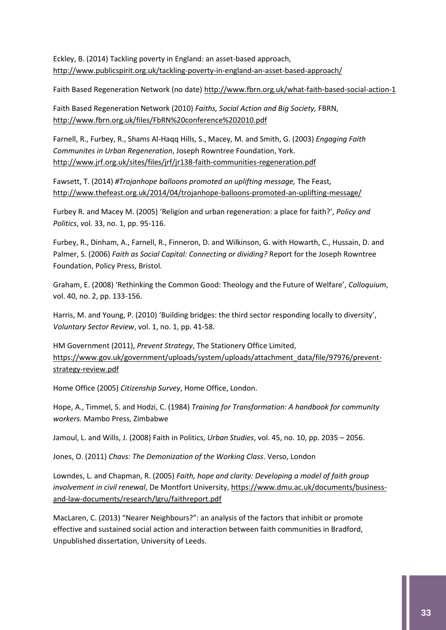Eckley, B. (2014) Tackling poverty in England: an asset-based approach, <http://www.publicspirit.org.uk/tackling-poverty-in-england-an-asset-based-approach/>

Faith Based Regeneration Network (no date[\) http://www.fbrn.org.uk/what-faith-based-social-action-1](http://www.fbrn.org.uk/what-faith-based-social-action-1)

Faith Based Regeneration Network (2010) *Faiths, Social Action and Big Society,* FBRN, <http://www.fbrn.org.uk/files/FbRN%20conference%202010.pdf>

Farnell, R., Furbey, R., Shams Al-Haqq Hills, S., Macey, M. and Smith, G. (2003) *Engaging Faith Communites in Urban Regeneration*, Joseph Rowntree Foundation, York. <http://www.jrf.org.uk/sites/files/jrf/jr138-faith-communities-regeneration.pdf>

Fawsett, T. (2014) *#Trojanhope balloons promoted an uplifting message,* The Feast, <http://www.thefeast.org.uk/2014/04/trojanhope-balloons-promoted-an-uplifting-message/>

Furbey R. and Macey M. (2005) 'Religion and urban regeneration: a place for faith?', *Policy and Politics*, vol. 33, no. 1, pp. 95-116.

Furbey, R., Dinham, A., Farnell, R., Finneron, D. and Wilkinson, G. with Howarth, C., Hussain, D. and Palmer, S. (2006) *Faith as Social Capital: Connecting or dividing?* Report for the Joseph Rowntree Foundation, Policy Press, Bristol.

Graham, E. (2008) 'Rethinking the Common Good: Theology and the Future of Welfare', *Colloquium*, vol. 40, no. 2, pp. 133-156.

Harris, M. and Young, P. (2010) 'Building bridges: the third sector responding locally to diversity', *Voluntary Sector Review*, vol. 1, no. 1, pp. 41-58.

HM Government (2011), *Prevent Strategy*, The Stationery Office Limited, [https://www.gov.uk/government/uploads/system/uploads/attachment\\_data/file/97976/prevent](https://www.gov.uk/government/uploads/system/uploads/attachment_data/file/97976/prevent-strategy-review.pdf)[strategy-review.pdf](https://www.gov.uk/government/uploads/system/uploads/attachment_data/file/97976/prevent-strategy-review.pdf)

Home Office (2005) *Citizenship Survey*, Home Office, London.

Hope, A., Timmel, S. and Hodzi, C. (1984) *Training for Transformation: A handbook for community workers.* Mambo Press, Zimbabwe

Jamoul, L. and Wills, J. (2008) Faith in Politics, *Urban Studies*, vol. 45, no. 10, pp. 2035 – 2056.

Jones, O. (2011) *Chavs: The Demonization of the Working Class*. Verso, London

Lowndes, L. and Chapman, R. (2005) *Faith, hope and clarity: Developing a model of faith group involvement in civil renewal*, De Montfort University[, https://www.dmu.ac.uk/documents/business](https://www.dmu.ac.uk/documents/business-and-law-documents/research/lgru/faithreport.pdf)[and-law-documents/research/lgru/faithreport.pdf](https://www.dmu.ac.uk/documents/business-and-law-documents/research/lgru/faithreport.pdf)

MacLaren, C. (2013) "Nearer Neighbours?": an analysis of the factors that inhibit or promote effective and sustained social action and interaction between faith communities in Bradford, Unpublished dissertation, University of Leeds.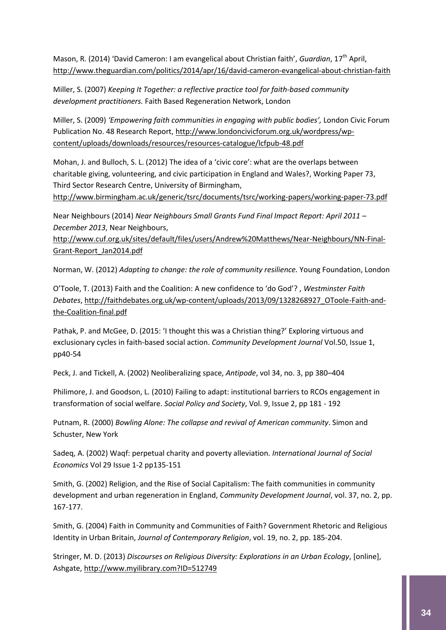Mason, R. (2014) 'David Cameron: I am evangelical about Christian faith', *Guardian*, 17th April, <http://www.theguardian.com/politics/2014/apr/16/david-cameron-evangelical-about-christian-faith>

Miller, S. (2007) *Keeping It Together: a reflective practice tool for faith-based community development practitioners.* Faith Based Regeneration Network, London

Miller, S. (2009) *'Empowering faith communities in engaging with public bodies',* London Civic Forum Publication No. 48 Research Report, [http://www.londoncivicforum.org.uk/wordpress/wp](http://www.londoncivicforum.org.uk/wordpress/wp-content/uploads/downloads/resources/resources-catalogue/lcfpub-48.pdf)[content/uploads/downloads/resources/resources-catalogue/lcfpub-48.pdf](http://www.londoncivicforum.org.uk/wordpress/wp-content/uploads/downloads/resources/resources-catalogue/lcfpub-48.pdf)

Mohan, J. and Bulloch, S. L. (2012) The idea of a 'civic core': what are the overlaps between charitable giving, volunteering, and civic participation in England and Wales?, Working Paper 73, Third Sector Research Centre, University of Birmingham,

<http://www.birmingham.ac.uk/generic/tsrc/documents/tsrc/working-papers/working-paper-73.pdf>

Near Neighbours (2014) *Near Neighbours Small Grants Fund Final Impact Report: April 2011 – December 2013*, Near Neighbours,

[http://www.cuf.org.uk/sites/default/files/users/Andrew%20Matthews/Near-Neighbours/NN-Final-](http://www.cuf.org.uk/sites/default/files/users/Andrew%20Matthews/Near-Neighbours/NN-Final-Grant-Report_Jan2014.pdf)[Grant-Report\\_Jan2014.pdf](http://www.cuf.org.uk/sites/default/files/users/Andrew%20Matthews/Near-Neighbours/NN-Final-Grant-Report_Jan2014.pdf)

Norman, W. (2012) *Adapting to change: the role of community resilience.* Young Foundation, London

O'Toole, T. (2013) Faith and the Coalition: A new confidence to 'do God'? , *Westminster Faith Debates*[, http://faithdebates.org.uk/wp-content/uploads/2013/09/1328268927\\_OToole-Faith-and](http://faithdebates.org.uk/wp-content/uploads/2013/09/1328268927_OToole-Faith-and-the-Coalition-final.pdf)[the-Coalition-final.pdf](http://faithdebates.org.uk/wp-content/uploads/2013/09/1328268927_OToole-Faith-and-the-Coalition-final.pdf)

Pathak, P. and McGee, D. (2015: 'I thought this was a Christian thing?' Exploring virtuous and exclusionary cycles in faith-based social action. *Community Development Journal* Vol.50, Issue 1, pp40-54

Peck, J. and Tickell, A. (2002) Neoliberalizing space, *Antipode*, vol 34, no. 3, pp 380–404

Philimore, J. and Goodson, L. (2010) Failing to adapt: institutional barriers to RCOs engagement in transformation of social welfare. *Social Policy and Society*, Vol. 9, Issue 2, pp 181 - 192

Putnam, R. (2000) *Bowling Alone: The collapse and revival of American community*. Simon and Schuster, New York

Sadeq, A. (2002) Waqf: perpetual charity and poverty alleviation. *International Journal of Social Economics* Vol 29 Issue 1-2 pp135-151

Smith, G. (2002) Religion, and the Rise of Social Capitalism: The faith communities in community development and urban regeneration in England, *Community Development Journal*, vol. 37, no. 2, pp. 167-177.

Smith, G. (2004) Faith in Community and Communities of Faith? Government Rhetoric and Religious Identity in Urban Britain, *Journal of Contemporary Religion*, vol. 19, no. 2, pp. 185-204.

Stringer, M. D. (2013) *Discourses on Religious Diversity: Explorations in an Urban Ecology*, [online], Ashgate, [http://www.myilibrary.com?ID=512749](http://www.myilibrary.com/?ID=512749)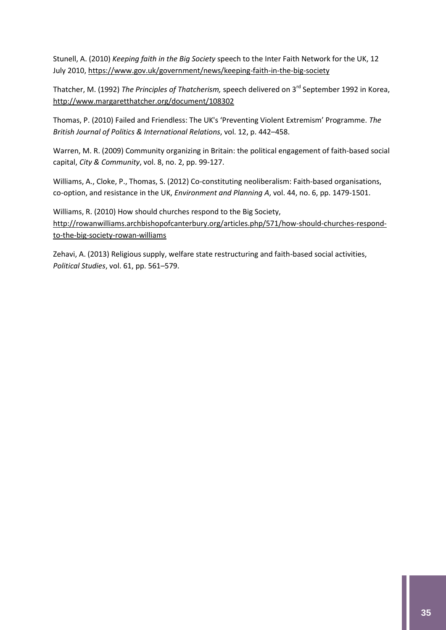Stunell, A. (2010) *Keeping faith in the Big Society* speech to the Inter Faith Network for the UK, 12 July 2010[, https://www.gov.uk/government/news/keeping-faith-in-the-big-society](https://www.gov.uk/government/news/keeping-faith-in-the-big-society)

Thatcher, M. (1992) *The Principles of Thatcherism,* speech delivered on 3rd September 1992 in Korea, <http://www.margaretthatcher.org/document/108302>

Thomas, P. (2010) Failed and Friendless: The UK's 'Preventing Violent Extremism' Programme. *The British Journal of Politics & International Relations*, vol. 12, p. 442–458.

Warren, M. R. (2009) Community organizing in Britain: the political engagement of faith-based social capital, *City & Community*, vol. 8, no. 2, pp. 99-127.

Williams, A., Cloke, P., Thomas, S. (2012) Co-constituting neoliberalism: Faith-based organisations, co-option, and resistance in the UK, *Environment and Planning A*, vol. 44, no. 6, pp. 1479-1501.

Williams, R. (2010) How should churches respond to the Big Society, [http://rowanwilliams.archbishopofcanterbury.org/articles.php/571/how-should-churches-respond](http://rowanwilliams.archbishopofcanterbury.org/articles.php/571/how-should-churches-respond-to-the-big-society-rowan-williams)[to-the-big-society-rowan-williams](http://rowanwilliams.archbishopofcanterbury.org/articles.php/571/how-should-churches-respond-to-the-big-society-rowan-williams)

Zehavi, A. (2013) Religious supply, welfare state restructuring and faith-based social activities, *Political Studies*, vol. 61, pp. 561–579.